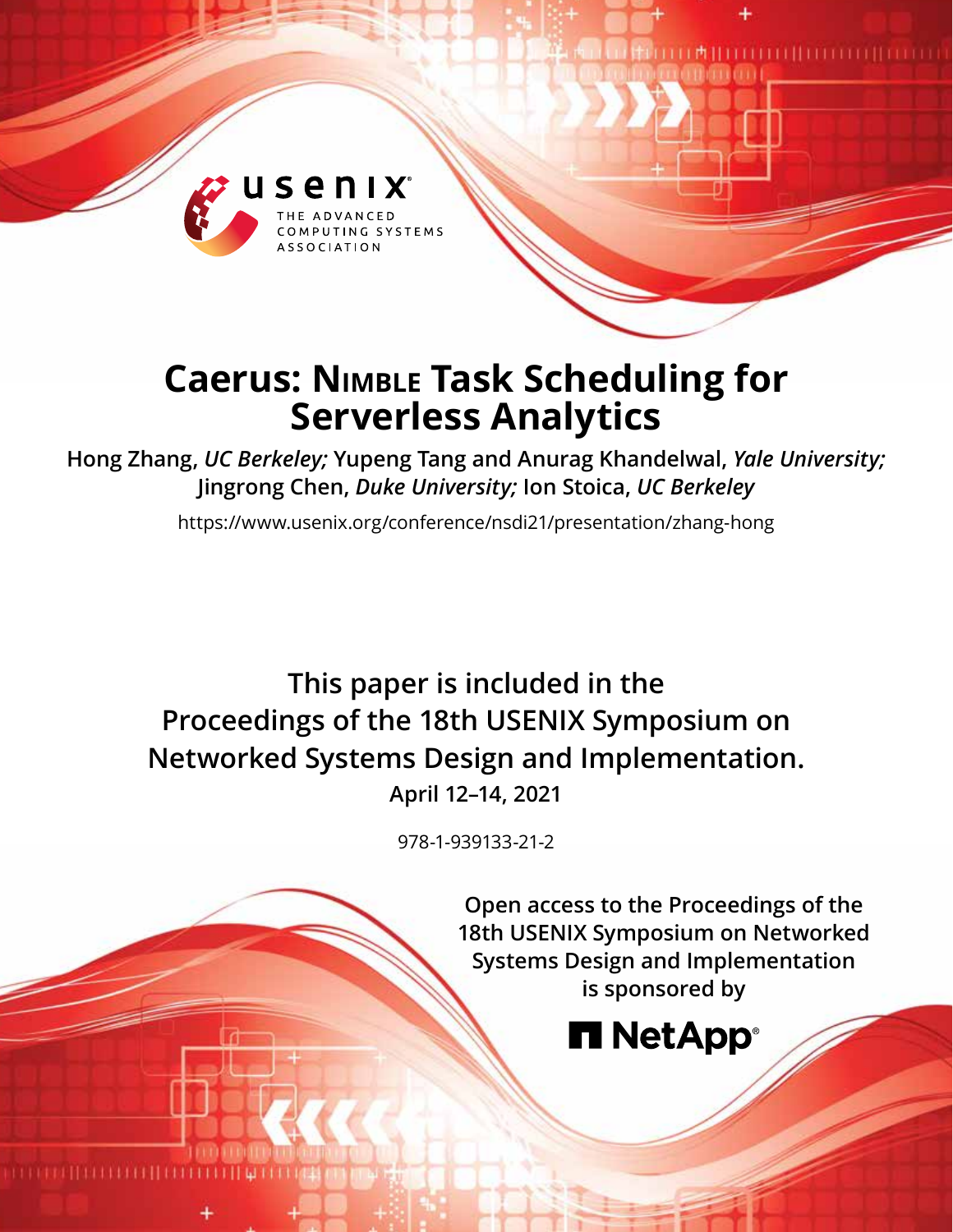

# **Caerus: Nimble Task Scheduling for Serverless Analytics**

**Hong Zhang,** *UC Berkeley;* **Yupeng Tang and Anurag Khandelwal,** *Yale University;*  **Jingrong Chen,** *Duke University;* **Ion Stoica,** *UC Berkeley*

https://www.usenix.org/conference/nsdi21/presentation/zhang-hong

# **This paper is included in the Proceedings of the 18th USENIX Symposium on Networked Systems Design and Implementation.**

**April 12–14, 2021**

978-1-939133-21-2

**Open access to the Proceedings of the 18th USENIX Symposium on Networked Systems Design and Implementation is sponsored by**

**TITTII** TITTITTII TITTII

பா#ய

# **H** NetApp®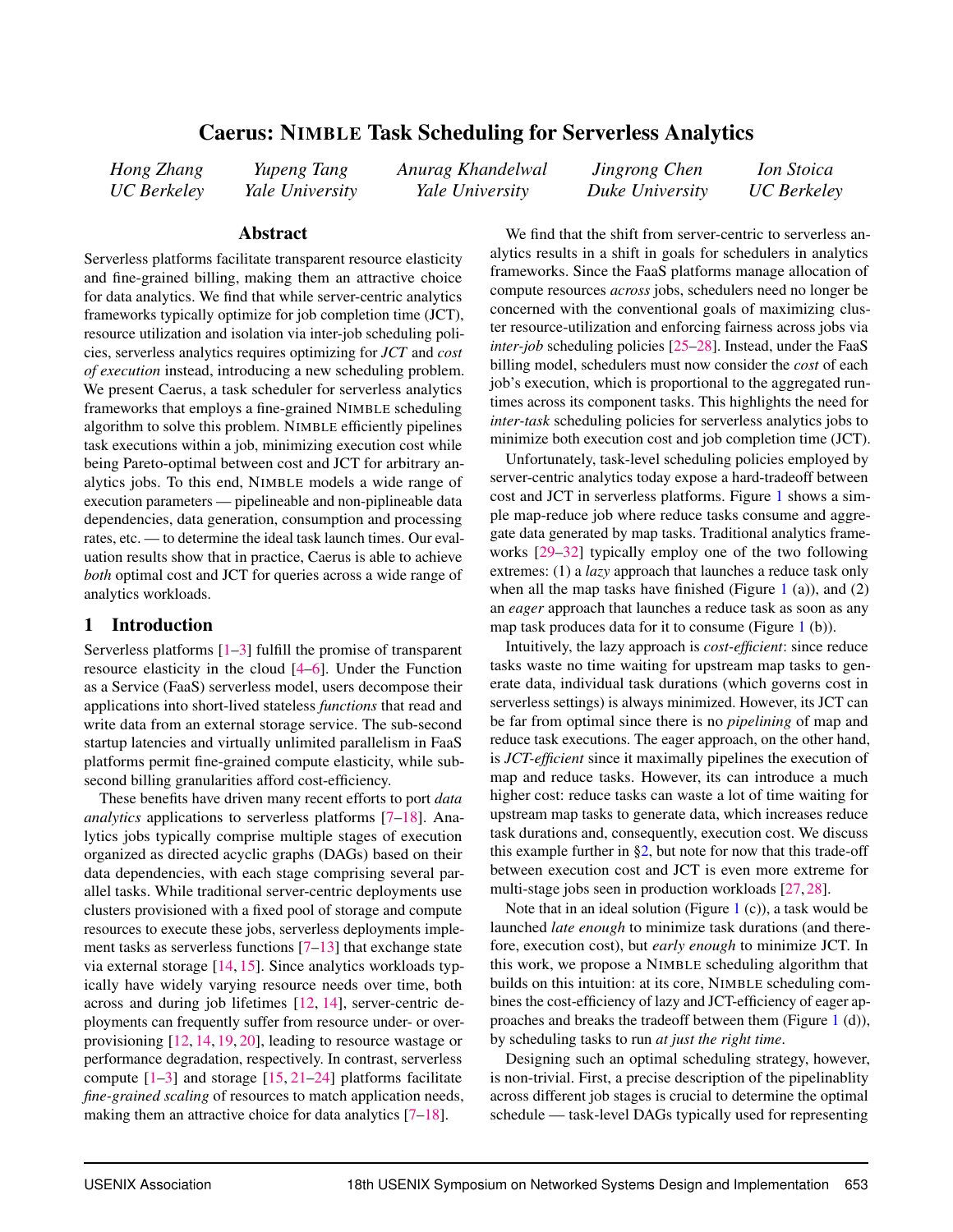# Caerus: NIMBLE Task Scheduling for Serverless Analytics

<span id="page-1-0"></span>*Hong Zhang UC Berkeley*

*Yupeng Tang Yale University* *Anurag Khandelwal Yale University*

*Jingrong Chen Duke University*

*Ion Stoica UC Berkeley*

### Abstract

Serverless platforms facilitate transparent resource elasticity and fine-grained billing, making them an attractive choice for data analytics. We find that while server-centric analytics frameworks typically optimize for job completion time (JCT), resource utilization and isolation via inter-job scheduling policies, serverless analytics requires optimizing for *JCT* and *cost of execution* instead, introducing a new scheduling problem. We present Caerus, a task scheduler for serverless analytics frameworks that employs a fine-grained NIMBLE scheduling algorithm to solve this problem. NIMBLE efficiently pipelines task executions within a job, minimizing execution cost while being Pareto-optimal between cost and JCT for arbitrary analytics jobs. To this end, NIMBLE models a wide range of execution parameters — pipelineable and non-piplineable data dependencies, data generation, consumption and processing rates, etc. — to determine the ideal task launch times. Our evaluation results show that in practice, Caerus is able to achieve *both* optimal cost and JCT for queries across a wide range of analytics workloads.

# <span id="page-1-1"></span>1 Introduction

Serverless platforms  $[1-3]$  $[1-3]$  fulfill the promise of transparent resource elasticity in the cloud [\[4–](#page-14-2)[6\]](#page-14-3). Under the Function as a Service (FaaS) serverless model, users decompose their applications into short-lived stateless *functions* that read and write data from an external storage service. The sub-second startup latencies and virtually unlimited parallelism in FaaS platforms permit fine-grained compute elasticity, while subsecond billing granularities afford cost-efficiency.

These benefits have driven many recent efforts to port *data analytics* applications to serverless platforms [\[7](#page-14-4)[–18\]](#page-14-5). Analytics jobs typically comprise multiple stages of execution organized as directed acyclic graphs (DAGs) based on their data dependencies, with each stage comprising several parallel tasks. While traditional server-centric deployments use clusters provisioned with a fixed pool of storage and compute resources to execute these jobs, serverless deployments implement tasks as serverless functions  $[7-13]$  $[7-13]$  that exchange state via external storage [\[14,](#page-14-7) [15\]](#page-14-8). Since analytics workloads typically have widely varying resource needs over time, both across and during job lifetimes [\[12,](#page-14-9) [14\]](#page-14-7), server-centric deployments can frequently suffer from resource under- or overprovisioning [\[12,](#page-14-9) [14,](#page-14-7) [19,](#page-14-10) [20\]](#page-14-11), leading to resource wastage or performance degradation, respectively. In contrast, serverless compute  $[1-3]$  $[1-3]$  and storage  $[15, 21-24]$  $[15, 21-24]$  $[15, 21-24]$  $[15, 21-24]$  platforms facilitate *fine-grained scaling* of resources to match application needs, making them an attractive choice for data analytics [\[7–](#page-14-4)[18\]](#page-14-5).

We find that the shift from server-centric to serverless analytics results in a shift in goals for schedulers in analytics frameworks. Since the FaaS platforms manage allocation of compute resources *across* jobs, schedulers need no longer be concerned with the conventional goals of maximizing cluster resource-utilization and enforcing fairness across jobs via *inter-job* scheduling policies [\[25–](#page-14-14)[28\]](#page-15-0). Instead, under the FaaS billing model, schedulers must now consider the *cost* of each job's execution, which is proportional to the aggregated runtimes across its component tasks. This highlights the need for *inter-task* scheduling policies for serverless analytics jobs to minimize both execution cost and job completion time (JCT).

Unfortunately, task-level scheduling policies employed by server-centric analytics today expose a hard-tradeoff between cost and JCT in serverless platforms. Figure [1](#page-2-0) shows a simple map-reduce job where reduce tasks consume and aggregate data generated by map tasks. Traditional analytics frameworks [\[29–](#page-15-1)[32\]](#page-15-2) typically employ one of the two following extremes: (1) a *lazy* approach that launches a reduce task only when all the map tasks have finished (Figure [1](#page-2-0) (a)), and  $(2)$ an *eager* approach that launches a reduce task as soon as any map task produces data for it to consume (Figure [1](#page-2-0) (b)).

Intuitively, the lazy approach is *cost-efficient*: since reduce tasks waste no time waiting for upstream map tasks to generate data, individual task durations (which governs cost in serverless settings) is always minimized. However, its JCT can be far from optimal since there is no *pipelining* of map and reduce task executions. The eager approach, on the other hand, is *JCT-efficient* since it maximally pipelines the execution of map and reduce tasks. However, its can introduce a much higher cost: reduce tasks can waste a lot of time waiting for upstream map tasks to generate data, which increases reduce task durations and, consequently, execution cost. We discuss this example further in  $\S2$ , but note for now that this trade-off between execution cost and JCT is even more extreme for multi-stage jobs seen in production workloads [\[27,](#page-14-15) [28\]](#page-15-0).

Note that in an ideal solution (Figure [1](#page-2-0) (c)), a task would be launched *late enough* to minimize task durations (and therefore, execution cost), but *early enough* to minimize JCT. In this work, we propose a NIMBLE scheduling algorithm that builds on this intuition: at its core, NIMBLE scheduling combines the cost-efficiency of lazy and JCT-efficiency of eager approaches and breaks the tradeoff between them (Figure [1](#page-2-0) (d)), by scheduling tasks to run *at just the right time*.

Designing such an optimal scheduling strategy, however, is non-trivial. First, a precise description of the pipelinablity across different job stages is crucial to determine the optimal schedule — task-level DAGs typically used for representing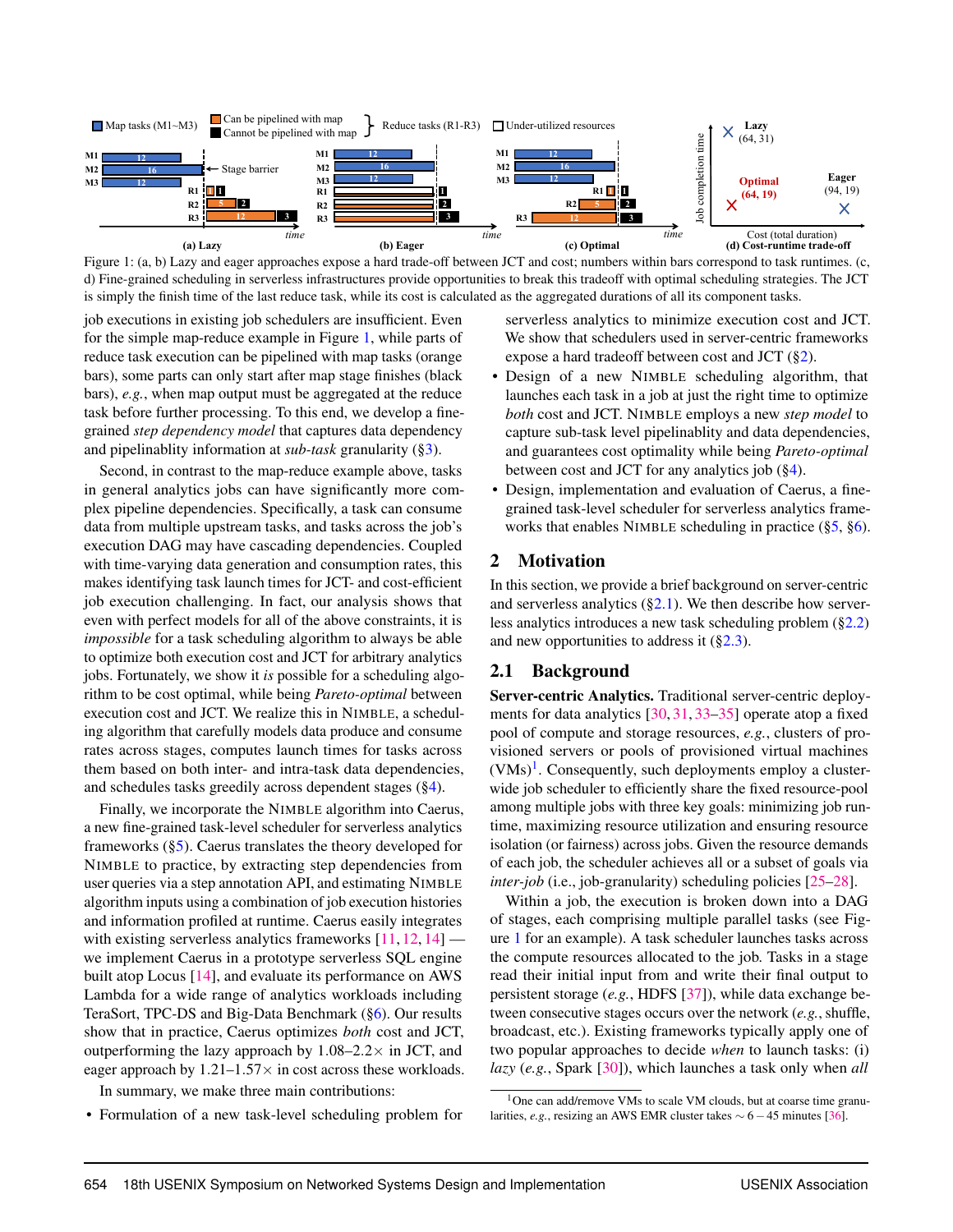<span id="page-2-0"></span>

Figure 1: (a, b) Lazy and eager approaches expose a hard trade-off between JCT and cost; numbers within bars correspond to task runtimes. (c, d) Fine-grained scheduling in serverless infrastructures provide opportunities to break this tradeoff with optimal scheduling strategies. The JCT is simply the finish time of the last reduce task, while its cost is calculated as the aggregated durations of all its component tasks.

job executions in existing job schedulers are insufficient. Even for the simple map-reduce example in Figure [1,](#page-2-0) while parts of reduce task execution can be pipelined with map tasks (orange bars), some parts can only start after map stage finishes (black bars), *e.g.*, when map output must be aggregated at the reduce task before further processing. To this end, we develop a finegrained *step dependency model* that captures data dependency and pipelinablity information at *sub-task* granularity ([§3\)](#page-4-0).

Second, in contrast to the map-reduce example above, tasks in general analytics jobs can have significantly more complex pipeline dependencies. Specifically, a task can consume data from multiple upstream tasks, and tasks across the job's execution DAG may have cascading dependencies. Coupled with time-varying data generation and consumption rates, this makes identifying task launch times for JCT- and cost-efficient job execution challenging. In fact, our analysis shows that even with perfect models for all of the above constraints, it is *impossible* for a task scheduling algorithm to always be able to optimize both execution cost and JCT for arbitrary analytics jobs. Fortunately, we show it *is* possible for a scheduling algorithm to be cost optimal, while being *Pareto-optimal* between execution cost and JCT. We realize this in NIMBLE, a scheduling algorithm that carefully models data produce and consume rates across stages, computes launch times for tasks across them based on both inter- and intra-task data dependencies, and schedules tasks greedily across dependent stages ([§4\)](#page-5-0).

Finally, we incorporate the NIMBLE algorithm into Caerus, a new fine-grained task-level scheduler for serverless analytics frameworks ([§5\)](#page-8-0). Caerus translates the theory developed for NIMBLE to practice, by extracting step dependencies from user queries via a step annotation API, and estimating NIMBLE algorithm inputs using a combination of job execution histories and information profiled at runtime. Caerus easily integrates with existing serverless analytics frameworks  $[11, 12, 14]$  $[11, 12, 14]$  $[11, 12, 14]$  $[11, 12, 14]$  $[11, 12, 14]$  we implement Caerus in a prototype serverless SQL engine built atop Locus [\[14\]](#page-14-7), and evaluate its performance on AWS Lambda for a wide range of analytics workloads including TeraSort, TPC-DS and Big-Data Benchmark ([§6\)](#page-10-0). Our results show that in practice, Caerus optimizes *both* cost and JCT, outperforming the lazy approach by  $1.08-2.2\times$  in JCT, and eager approach by  $1.21-1.57\times$  in cost across these workloads.

In summary, we make three main contributions:

• Formulation of a new task-level scheduling problem for

serverless analytics to minimize execution cost and JCT. We show that schedulers used in server-centric frameworks expose a hard tradeoff between cost and JCT ([§2\)](#page-2-1).

- Design of a new NIMBLE scheduling algorithm, that launches each task in a job at just the right time to optimize *both* cost and JCT. NIMBLE employs a new *step model* to capture sub-task level pipelinablity and data dependencies, and guarantees cost optimality while being *Pareto-optimal* between cost and JCT for any analytics job ([§4\)](#page-5-0).
- Design, implementation and evaluation of Caerus, a finegrained task-level scheduler for serverless analytics frameworks that enables NIMBLE scheduling in practice ([§5,](#page-8-0) [§6\)](#page-10-0).

## <span id="page-2-1"></span>2 Motivation

In this section, we provide a brief background on server-centric and serverless analytics  $(\S2.1)$ . We then describe how serverless analytics introduces a new task scheduling problem ([§2.2\)](#page-3-0) and new opportunities to address it  $(\S2.3)$ .

### <span id="page-2-2"></span>2.1 Background

Server-centric Analytics. Traditional server-centric deployments for data analytics [\[30,](#page-15-3) [31,](#page-15-4) [33–](#page-15-5)[35\]](#page-15-6) operate atop a fixed pool of compute and storage resources, *e.g.*, clusters of provisioned servers or pools of provisioned virtual machines  $(VMs)^{1}$  $(VMs)^{1}$  $(VMs)^{1}$ . Consequently, such deployments employ a clusterwide job scheduler to efficiently share the fixed resource-pool among multiple jobs with three key goals: minimizing job runtime, maximizing resource utilization and ensuring resource isolation (or fairness) across jobs. Given the resource demands of each job, the scheduler achieves all or a subset of goals via *inter-job* (i.e., job-granularity) scheduling policies [\[25–](#page-14-14)[28\]](#page-15-0).

Within a job, the execution is broken down into a DAG of stages, each comprising multiple parallel tasks (see Figure [1](#page-2-0) for an example). A task scheduler launches tasks across the compute resources allocated to the job. Tasks in a stage read their initial input from and write their final output to persistent storage (*e.g.*, HDFS [\[37\]](#page-15-7)), while data exchange between consecutive stages occurs over the network (*e.g.*, shuffle, broadcast, etc.). Existing frameworks typically apply one of two popular approaches to decide *when* to launch tasks: (i) *lazy* (*e.g.*, Spark [\[30\]](#page-15-3)), which launches a task only when *all*

 $1$ One can add/remove VMs to scale VM clouds, but at coarse time granularities, *e.g.*, resizing an AWS EMR cluster takes  $\sim$  6 − 45 minutes [\[36\]](#page-15-8).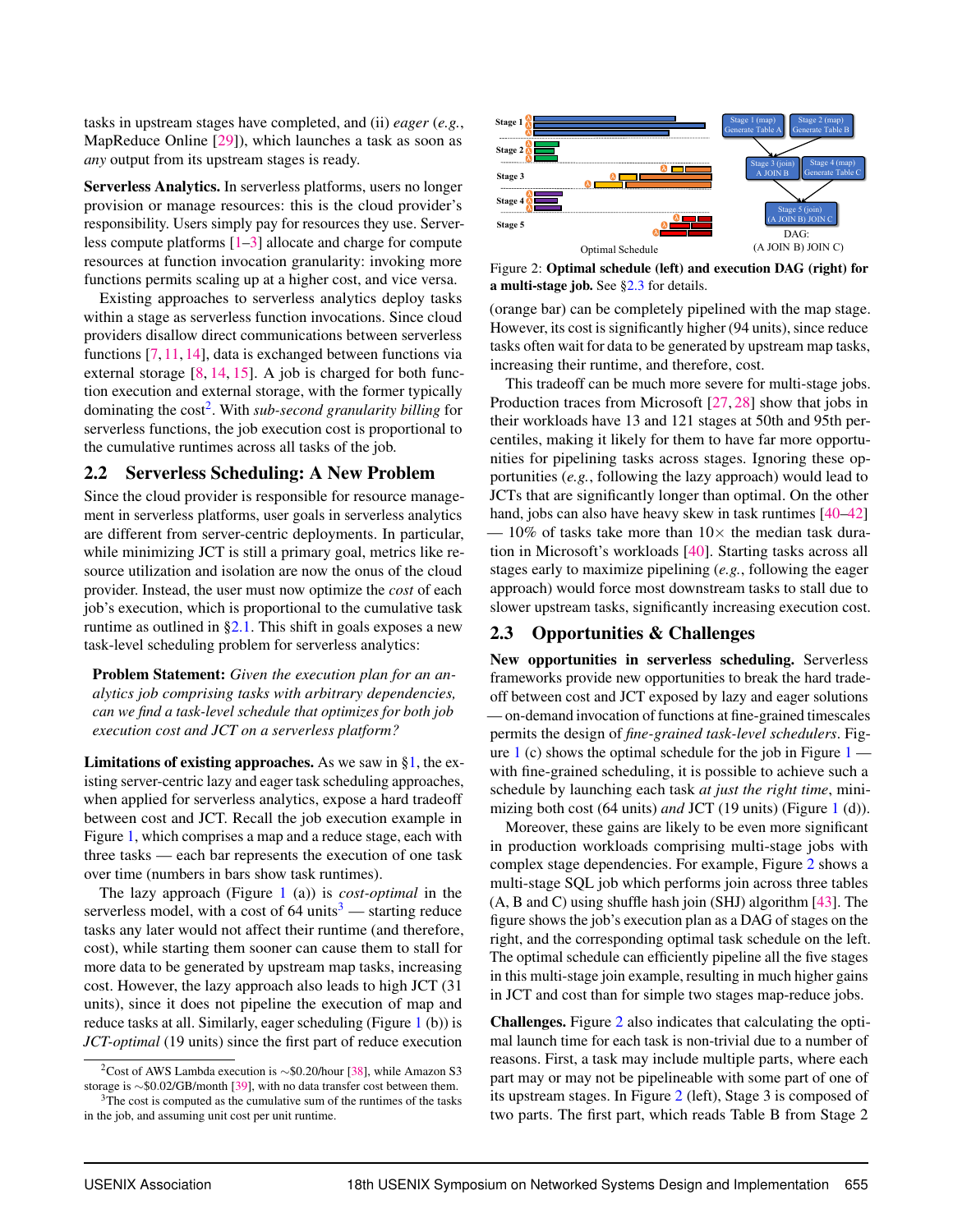tasks in upstream stages have completed, and (ii) *eager* (*e.g.*, MapReduce Online [\[29\]](#page-15-1)), which launches a task as soon as *any* output from its upstream stages is ready.

Serverless Analytics. In serverless platforms, users no longer provision or manage resources: this is the cloud provider's responsibility. Users simply pay for resources they use. Serverless compute platforms [\[1–](#page-14-0)[3\]](#page-14-1) allocate and charge for compute resources at function invocation granularity: invoking more functions permits scaling up at a higher cost, and vice versa.

Existing approaches to serverless analytics deploy tasks within a stage as serverless function invocations. Since cloud providers disallow direct communications between serverless functions [\[7,](#page-14-4) [11,](#page-14-16) [14\]](#page-14-7), data is exchanged between functions via external storage  $[8, 14, 15]$  $[8, 14, 15]$  $[8, 14, 15]$  $[8, 14, 15]$  $[8, 14, 15]$ . A job is charged for both function execution and external storage, with the former typically dominating the cost<sup>[2](#page-1-0)</sup>. With *sub-second granularity billing* for serverless functions, the job execution cost is proportional to the cumulative runtimes across all tasks of the job.

# <span id="page-3-0"></span>2.2 Serverless Scheduling: A New Problem

Since the cloud provider is responsible for resource management in serverless platforms, user goals in serverless analytics are different from server-centric deployments. In particular, while minimizing JCT is still a primary goal, metrics like resource utilization and isolation are now the onus of the cloud provider. Instead, the user must now optimize the *cost* of each job's execution, which is proportional to the cumulative task runtime as outlined in  $\S2.1$ . This shift in goals exposes a new task-level scheduling problem for serverless analytics:

Problem Statement: *Given the execution plan for an analytics job comprising tasks with arbitrary dependencies, can we find a task-level schedule that optimizes for both job execution cost and JCT on a serverless platform?*

**Limitations of existing approaches.** As we saw in  $\S1$ , the existing server-centric lazy and eager task scheduling approaches, when applied for serverless analytics, expose a hard tradeoff between cost and JCT. Recall the job execution example in Figure [1,](#page-2-0) which comprises a map and a reduce stage, each with three tasks — each bar represents the execution of one task over time (numbers in bars show task runtimes).

The lazy approach (Figure [1](#page-2-0) (a)) is *cost-optimal* in the serverless model, with a cost of  $64 \text{ units}^3$  $64 \text{ units}^3$  — starting reduce tasks any later would not affect their runtime (and therefore, cost), while starting them sooner can cause them to stall for more data to be generated by upstream map tasks, increasing cost. However, the lazy approach also leads to high JCT (31 units), since it does not pipeline the execution of map and reduce tasks at all. Similarly, eager scheduling (Figure [1](#page-2-0) (b)) is *JCT-optimal* (19 units) since the first part of reduce execution

<span id="page-3-2"></span>

Figure 2: Optimal schedule (left) and execution DAG (right) for a multi-stage job. See [§2.3](#page-3-1) for details.

(orange bar) can be completely pipelined with the map stage. However, its cost is significantly higher (94 units), since reduce tasks often wait for data to be generated by upstream map tasks, increasing their runtime, and therefore, cost.

This tradeoff can be much more severe for multi-stage jobs. Production traces from Microsoft [\[27,](#page-14-15) [28\]](#page-15-0) show that jobs in their workloads have 13 and 121 stages at 50th and 95th percentiles, making it likely for them to have far more opportunities for pipelining tasks across stages. Ignoring these opportunities (*e.g.*, following the lazy approach) would lead to JCTs that are significantly longer than optimal. On the other hand, jobs can also have heavy skew in task runtimes  $[40-42]$  $[40-42]$ — 10% of tasks take more than  $10\times$  the median task duration in Microsoft's workloads [\[40\]](#page-15-11). Starting tasks across all stages early to maximize pipelining (*e.g.*, following the eager approach) would force most downstream tasks to stall due to slower upstream tasks, significantly increasing execution cost.

# <span id="page-3-1"></span>2.3 Opportunities & Challenges

New opportunities in serverless scheduling. Serverless frameworks provide new opportunities to break the hard tradeoff between cost and JCT exposed by lazy and eager solutions — on-demand invocation of functions at fine-grained timescales permits the design of *fine-grained task-level schedulers*. Fig-ure [1](#page-2-0) (c) shows the optimal schedule for the job in Figure  $1$ with fine-grained scheduling, it is possible to achieve such a schedule by launching each task *at just the right time*, minimizing both cost (64 units) *and* JCT (19 units) (Figure [1](#page-2-0) (d)).

Moreover, these gains are likely to be even more significant in production workloads comprising multi-stage jobs with complex stage dependencies. For example, Figure [2](#page-3-2) shows a multi-stage SQL job which performs join across three tables (A, B and C) using shuffle hash join (SHJ) algorithm [\[43\]](#page-15-13). The figure shows the job's execution plan as a DAG of stages on the right, and the corresponding optimal task schedule on the left. The optimal schedule can efficiently pipeline all the five stages in this multi-stage join example, resulting in much higher gains in JCT and cost than for simple two stages map-reduce jobs.

Challenges. Figure [2](#page-3-2) also indicates that calculating the optimal launch time for each task is non-trivial due to a number of reasons. First, a task may include multiple parts, where each part may or may not be pipelineable with some part of one of its upstream stages. In Figure [2](#page-3-2) (left), Stage 3 is composed of two parts. The first part, which reads Table B from Stage 2

<sup>2</sup>Cost of AWS Lambda execution is ∼\$0.20/hour [\[38\]](#page-15-9), while Amazon S3 storage is ∼\$0.02/GB/month [\[39\]](#page-15-10), with no data transfer cost between them.

 $3$ The cost is computed as the cumulative sum of the runtimes of the tasks in the job, and assuming unit cost per unit runtime.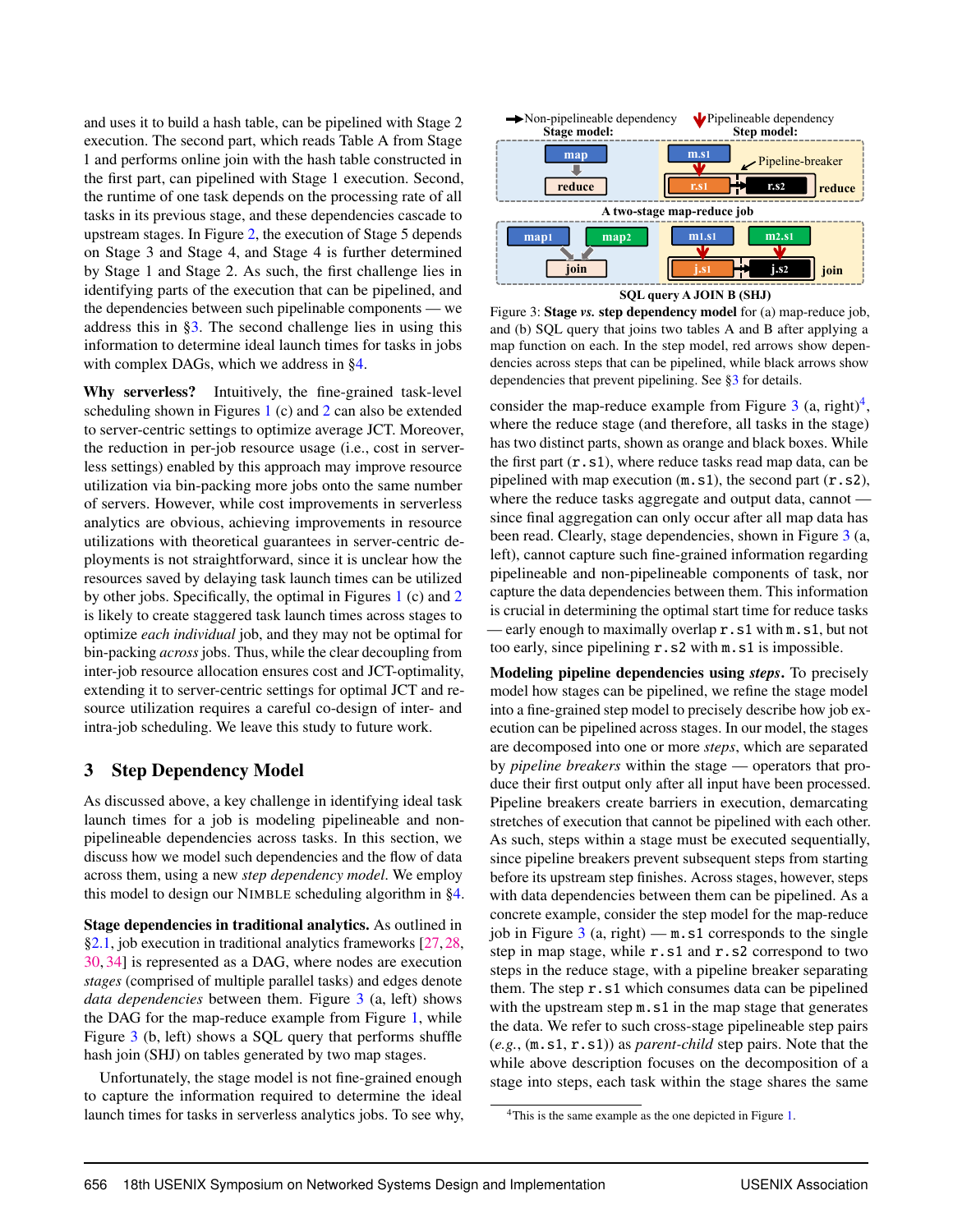and uses it to build a hash table, can be pipelined with Stage 2 execution. The second part, which reads Table A from Stage 1 and performs online join with the hash table constructed in the first part, can pipelined with Stage 1 execution. Second, the runtime of one task depends on the processing rate of all tasks in its previous stage, and these dependencies cascade to upstream stages. In Figure [2,](#page-3-2) the execution of Stage 5 depends on Stage 3 and Stage 4, and Stage 4 is further determined by Stage 1 and Stage 2. As such, the first challenge lies in identifying parts of the execution that can be pipelined, and the dependencies between such pipelinable components — we address this in [§3.](#page-4-0) The second challenge lies in using this information to determine ideal launch times for tasks in jobs with complex DAGs, which we address in [§4.](#page-5-0)

Why serverless? Intuitively, the fine-grained task-level scheduling shown in Figures [1](#page-2-0) (c) and [2](#page-3-2) can also be extended to server-centric settings to optimize average JCT. Moreover, the reduction in per-job resource usage (i.e., cost in serverless settings) enabled by this approach may improve resource utilization via bin-packing more jobs onto the same number of servers. However, while cost improvements in serverless analytics are obvious, achieving improvements in resource utilizations with theoretical guarantees in server-centric deployments is not straightforward, since it is unclear how the resources saved by delaying task launch times can be utilized by other jobs. Specifically, the optimal in Figures [1](#page-2-0) (c) and [2](#page-3-2) is likely to create staggered task launch times across stages to optimize *each individual* job, and they may not be optimal for bin-packing *across* jobs. Thus, while the clear decoupling from inter-job resource allocation ensures cost and JCT-optimality, extending it to server-centric settings for optimal JCT and resource utilization requires a careful co-design of inter- and intra-job scheduling. We leave this study to future work.

# <span id="page-4-0"></span>3 Step Dependency Model

As discussed above, a key challenge in identifying ideal task launch times for a job is modeling pipelineable and nonpipelineable dependencies across tasks. In this section, we discuss how we model such dependencies and the flow of data across them, using a new *step dependency model*. We employ this model to design our NIMBLE scheduling algorithm in [§4.](#page-5-0)

Stage dependencies in traditional analytics. As outlined in [§2.1,](#page-2-2) job execution in traditional analytics frameworks [\[27,](#page-14-15)[28,](#page-15-0) [30,](#page-15-3) [34\]](#page-15-14) is represented as a DAG, where nodes are execution *stages* (comprised of multiple parallel tasks) and edges denote *data dependencies* between them. Figure [3](#page-4-1) (a, left) shows the DAG for the map-reduce example from Figure [1,](#page-2-0) while Figure [3](#page-4-1) (b, left) shows a SQL query that performs shuffle hash join (SHJ) on tables generated by two map stages.

Unfortunately, the stage model is not fine-grained enough to capture the information required to determine the ideal launch times for tasks in serverless analytics jobs. To see why,

<span id="page-4-1"></span>

**SQL query A JOIN B (SHJ)**

Figure 3: **Stage** *vs.* step dependency model for (a) map-reduce job, and (b) SQL query that joins two tables A and B after applying a map function on each. In the step model, red arrows show dependencies across steps that can be pipelined, while black arrows show dependencies that prevent pipelining. See [§3](#page-4-0) for details.

consider the map-reduce example from Figure [3](#page-4-1) (a, right)<sup>[4](#page-1-0)</sup>, where the reduce stage (and therefore, all tasks in the stage) has two distinct parts, shown as orange and black boxes. While the first part  $(r, s1)$ , where reduce tasks read map data, can be pipelined with map execution (m.s1), the second part (r.s2), where the reduce tasks aggregate and output data, cannot since final aggregation can only occur after all map data has been read. Clearly, stage dependencies, shown in Figure [3](#page-4-1) (a, left), cannot capture such fine-grained information regarding pipelineable and non-pipelineable components of task, nor capture the data dependencies between them. This information is crucial in determining the optimal start time for reduce tasks — early enough to maximally overlap **r**.s1 with m.s1, but not too early, since pipelining r.s2 with m.s1 is impossible.

Modeling pipeline dependencies using *steps*. To precisely model how stages can be pipelined, we refine the stage model into a fine-grained step model to precisely describe how job execution can be pipelined across stages. In our model, the stages are decomposed into one or more *steps*, which are separated by *pipeline breakers* within the stage — operators that produce their first output only after all input have been processed. Pipeline breakers create barriers in execution, demarcating stretches of execution that cannot be pipelined with each other. As such, steps within a stage must be executed sequentially, since pipeline breakers prevent subsequent steps from starting before its upstream step finishes. Across stages, however, steps with data dependencies between them can be pipelined. As a concrete example, consider the step model for the map-reduce job in Figure  $3$  (a, right) — m.s1 corresponds to the single step in map stage, while r.s1 and r.s2 correspond to two steps in the reduce stage, with a pipeline breaker separating them. The step r.s1 which consumes data can be pipelined with the upstream step  $m.s1$  in the map stage that generates the data. We refer to such cross-stage pipelineable step pairs (*e.g.*, (m.s1, r.s1)) as *parent-child* step pairs. Note that the while above description focuses on the decomposition of a stage into steps, each task within the stage shares the same

<sup>&</sup>lt;sup>4</sup>This is the same example as the one depicted in Figure [1.](#page-2-0)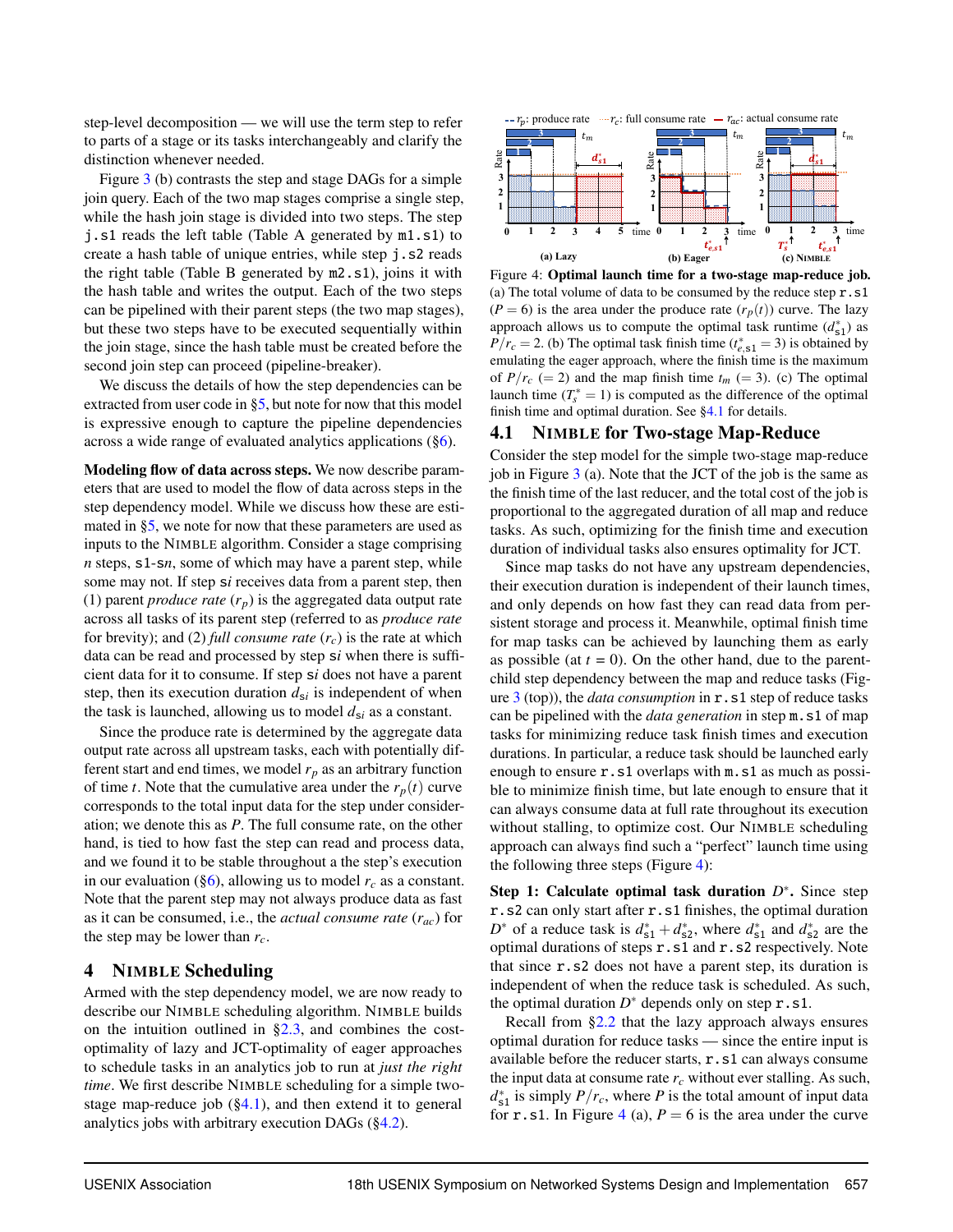step-level decomposition — we will use the term step to refer to parts of a stage or its tasks interchangeably and clarify the distinction whenever needed.

Figure [3](#page-4-1) (b) contrasts the step and stage DAGs for a simple join query. Each of the two map stages comprise a single step, while the hash join stage is divided into two steps. The step j.s1 reads the left table (Table A generated by m1.s1) to create a hash table of unique entries, while step j.s2 reads the right table (Table B generated by m2.s1), joins it with the hash table and writes the output. Each of the two steps can be pipelined with their parent steps (the two map stages), but these two steps have to be executed sequentially within the join stage, since the hash table must be created before the second join step can proceed (pipeline-breaker).

We discuss the details of how the step dependencies can be extracted from user code in [§5,](#page-8-0) but note for now that this model is expressive enough to capture the pipeline dependencies across a wide range of evaluated analytics applications  $(\S6)$ .

Modeling flow of data across steps. We now describe parameters that are used to model the flow of data across steps in the step dependency model. While we discuss how these are estimated in [§5,](#page-8-0) we note for now that these parameters are used as inputs to the NIMBLE algorithm. Consider a stage comprising *n* steps, s1-s*n*, some of which may have a parent step, while some may not. If step s*i* receives data from a parent step, then (1) parent *produce rate*  $(r_p)$  is the aggregated data output rate across all tasks of its parent step (referred to as *produce rate* for brevity); and (2) *full consume rate*  $(r_c)$  is the rate at which data can be read and processed by step s*i* when there is sufficient data for it to consume. If step s*i* does not have a parent step, then its execution duration  $d_{si}$  is independent of when the task is launched, allowing us to model  $d_{si}$  as a constant.

Since the produce rate is determined by the aggregate data output rate across all upstream tasks, each with potentially different start and end times, we model *r<sup>p</sup>* as an arbitrary function of time *t*. Note that the cumulative area under the  $r_p(t)$  curve corresponds to the total input data for the step under consideration; we denote this as *P*. The full consume rate, on the other hand, is tied to how fast the step can read and process data, and we found it to be stable throughout a the step's execution in our evaluation ( $\S6$ ), allowing us to model  $r_c$  as a constant. Note that the parent step may not always produce data as fast as it can be consumed, i.e., the *actual consume rate* (*rac*) for the step may be lower than *rc*.

#### <span id="page-5-0"></span>4 NIMBLE Scheduling

<span id="page-5-1"></span>Armed with the step dependency model, we are now ready to describe our NIMBLE scheduling algorithm. NIMBLE builds on the intuition outlined in  $\S2.3$ , and combines the costoptimality of lazy and JCT-optimality of eager approaches to schedule tasks in an analytics job to run at *just the right time*. We first describe NIMBLE scheduling for a simple twostage map-reduce job  $(\S4.1)$ , and then extend it to general analytics jobs with arbitrary execution DAGs  $(\S4.2)$ .

<span id="page-5-2"></span>

Figure 4: Optimal launch time for a two-stage map-reduce job. (a) The total volume of data to be consumed by the reduce step  $r \cdot s1$  $(P = 6)$  is the area under the produce rate  $(r_p(t))$  curve. The lazy approach allows us to compute the optimal task runtime  $(d_{s1}^*)$  as  $P/r_c = 2$ . (b) The optimal task finish time ( $t_{e, s1}^* = 3$ ) is obtained by emulating the eager approach, where the finish time is the maximum of  $P/r_c$  (= 2) and the map finish time  $t_m$  (= 3). (c) The optimal launch time  $(T_s^* = 1)$  is computed as the difference of the optimal finish time and optimal duration. See [§4.1](#page-5-1) for details.

#### 4.1 NIMBLE for Two-stage Map-Reduce

Consider the step model for the simple two-stage map-reduce job in Figure [3](#page-4-1) (a). Note that the JCT of the job is the same as the finish time of the last reducer, and the total cost of the job is proportional to the aggregated duration of all map and reduce tasks. As such, optimizing for the finish time and execution duration of individual tasks also ensures optimality for JCT.

Since map tasks do not have any upstream dependencies, their execution duration is independent of their launch times, and only depends on how fast they can read data from persistent storage and process it. Meanwhile, optimal finish time for map tasks can be achieved by launching them as early as possible (at  $t = 0$ ). On the other hand, due to the parentchild step dependency between the map and reduce tasks (Figure [3](#page-4-1) (top)), the *data consumption* in r.s1 step of reduce tasks can be pipelined with the *data generation* in step m.s1 of map tasks for minimizing reduce task finish times and execution durations. In particular, a reduce task should be launched early enough to ensure r.s1 overlaps with m.s1 as much as possible to minimize finish time, but late enough to ensure that it can always consume data at full rate throughout its execution without stalling, to optimize cost. Our NIMBLE scheduling approach can always find such a "perfect" launch time using the following three steps (Figure  $4$ ):

Step 1: Calculate optimal task duration *D*<sup>∗</sup>. Since step r.s2 can only start after r.s1 finishes, the optimal duration  $D^*$  of a reduce task is  $d_{s1}^* + d_{s2}^*$ , where  $d_{s1}^*$  and  $d_{s2}^*$  are the optimal durations of steps r.s1 and r.s2 respectively. Note that since r.s2 does not have a parent step, its duration is independent of when the reduce task is scheduled. As such, the optimal duration  $D^*$  depends only on step  $r \cdot s1$ .

Recall from [§2.2](#page-3-0) that the lazy approach always ensures optimal duration for reduce tasks — since the entire input is available before the reducer starts, r.s1 can always consume the input data at consume rate  $r_c$  without ever stalling. As such,  $d_{s1}^*$  is simply  $P/r_c$ , where *P* is the total amount of input data for **r**.s1. In Figure [4](#page-5-2) (a),  $P = 6$  is the area under the curve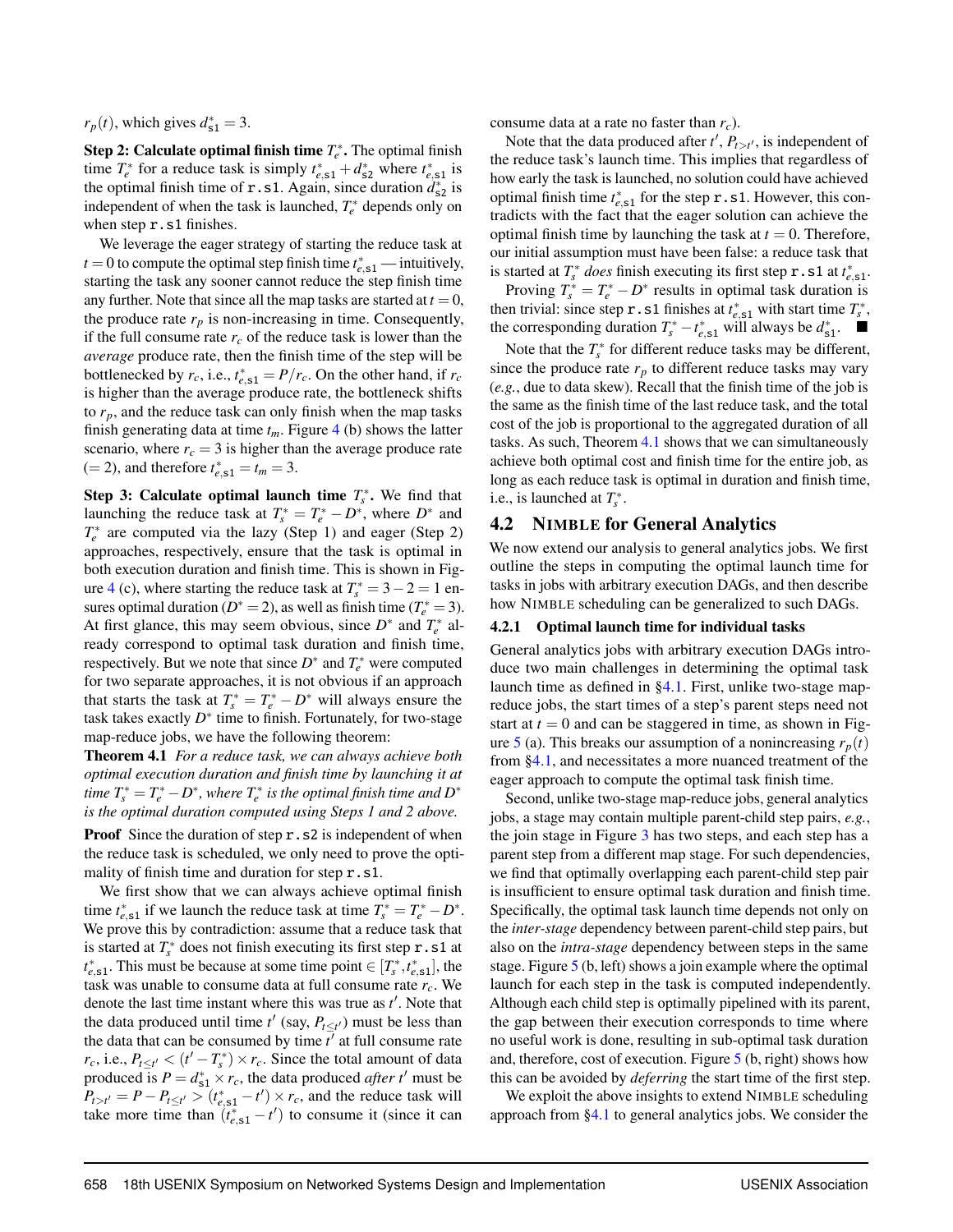$r_p(t)$ , which gives  $d_{s1}^* = 3$ .

**Step 2: Calculate optimal finish time**  $T_e^*$ **.** The optimal finish time  $T_e^*$  for a reduce task is simply  $t_{e, s1}^* + d_{s2}^*$  where  $t_{e, s1}^*$  is the optimal finish time of **r** . s1. Again, since duration  $d_{s2}^*$  is independent of when the task is launched,  $T_e^*$  depends only on when step **r**.s1 finishes.

We leverage the eager strategy of starting the reduce task at *t* = 0 to compute the optimal step finish time  $t_{e, s1}^*$  — intuitively, starting the task any sooner cannot reduce the step finish time any further. Note that since all the map tasks are started at  $t = 0$ , the produce rate  $r_p$  is non-increasing in time. Consequently, if the full consume rate  $r_c$  of the reduce task is lower than the *average* produce rate, then the finish time of the step will be bottlenecked by  $r_c$ , i.e.,  $t_{e, s1}^* = P/r_c$ . On the other hand, if  $r_c$ is higher than the average produce rate, the bottleneck shifts to  $r_p$ , and the reduce task can only finish when the map tasks finish generating data at time  $t_m$ . Figure [4](#page-5-2) (b) shows the latter scenario, where  $r_c = 3$  is higher than the average produce rate  $(= 2)$ , and therefore  $t_{e, s1}^* = t_m = 3$ .

**Step 3: Calculate optimal launch time**  $T_s^*$ **. We find that** launching the reduce task at  $T_s^* = T_e^* - D^*$ , where  $D^*$  and  $T_e^*$  are computed via the lazy (Step 1) and eager (Step 2) approaches, respectively, ensure that the task is optimal in both execution duration and finish time. This is shown in Fig-ure [4](#page-5-2) (c), where starting the reduce task at  $T_s^* = 3 - 2 = 1$  ensures optimal duration ( $D^* = 2$ ), as well as finish time ( $T_e^* = 3$ ). At first glance, this may seem obvious, since  $D^*$  and  $T_e^*$  already correspond to optimal task duration and finish time, respectively. But we note that since  $D^*$  and  $T_e^*$  were computed for two separate approaches, it is not obvious if an approach that starts the task at  $T_s^* = T_e^* - D^*$  will always ensure the task takes exactly  $D^*$  time to finish. Fortunately, for two-stage map-reduce jobs, we have the following theorem:

<span id="page-6-1"></span>Theorem 4.1 *For a reduce task, we can always achieve both optimal execution duration and finish time by launching it at time*  $T_s^* = T_e^* - D^*$ , where  $T_e^*$  is the optimal finish time and  $D^*$ *is the optimal duration computed using Steps 1 and 2 above.*

Proof Since the duration of step r.s2 is independent of when the reduce task is scheduled, we only need to prove the optimality of finish time and duration for step r.s1.

We first show that we can always achieve optimal finish time  $t_{e, s1}^*$  if we launch the reduce task at time  $T_s^* = T_e^* - D^*$ . We prove this by contradiction: assume that a reduce task that is started at  $T_s^*$  does not finish executing its first step  $\mathbf{r} \cdot \mathbf{s}1$  at  $t_{e,s1}^*$ . This must be because at some time point  $\in [T_s^*, t_{e,s1}^*]$ , the task was unable to consume data at full consume rate *rc*. We denote the last time instant where this was true as  $t'$ . Note that the data produced until time  $t'$  (say,  $P_{t \leq t'}$ ) must be less than the data that can be consumed by time  $\bar{t}^{\prime}$  at full consume rate *r*<sub>c</sub>, i.e.,  $P_{t \le t'} < (t' - T_s^*) \times r_c$ . Since the total amount of data produced is  $P = d_{s1}^* \times r_c$ , the data produced *after t'* must be  $P_{t>t'} = P - P_{t \le t'} > (t_{e,s1}^* - t') \times r_c$ , and the reduce task will take more time than  $(t_{e, s1}^* - t')$  to consume it (since it can

consume data at a rate no faster than *rc*).

Note that the data produced after  $t'$ ,  $P_{t>t'}$ , is independent of the reduce task's launch time. This implies that regardless of how early the task is launched, no solution could have achieved optimal finish time  $t_{e,s1}^*$  for the step  $\mathbf{r}$ . s1. However, this contradicts with the fact that the eager solution can achieve the optimal finish time by launching the task at  $t = 0$ . Therefore, our initial assumption must have been false: a reduce task that is started at  $T_s^*$  *does* finish executing its first step  $\mathbf{r} \cdot \mathbf{s} \cdot \mathbf{1}$  at  $t_{e,\mathbf{s}1}^*$ .

Proving  $T_s^* = T_e^* - D^*$  results in optimal task duration is then trivial: since step **r**. s1 finishes at  $t_{e, s1}^*$  with start time  $T_s^*$ , the corresponding duration  $T_s^* - t_{e, s1}^*$  will always be  $d_{s1}^*$ .

Note that the  $T_s^*$  for different reduce tasks may be different, since the produce rate  $r_p$  to different reduce tasks may vary (*e.g.*, due to data skew). Recall that the finish time of the job is the same as the finish time of the last reduce task, and the total cost of the job is proportional to the aggregated duration of all tasks. As such, Theorem [4.1](#page-6-1) shows that we can simultaneously achieve both optimal cost and finish time for the entire job, as long as each reduce task is optimal in duration and finish time, i.e., is launched at  $T_s^*$ .

#### <span id="page-6-0"></span>4.2 NIMBLE for General Analytics

We now extend our analysis to general analytics jobs. We first outline the steps in computing the optimal launch time for tasks in jobs with arbitrary execution DAGs, and then describe how NIMBLE scheduling can be generalized to such DAGs.

#### <span id="page-6-2"></span>4.2.1 Optimal launch time for individual tasks

General analytics jobs with arbitrary execution DAGs introduce two main challenges in determining the optimal task launch time as defined in [§4.1.](#page-5-1) First, unlike two-stage mapreduce jobs, the start times of a step's parent steps need not start at  $t = 0$  and can be staggered in time, as shown in Fig-ure [5](#page-7-0) (a). This breaks our assumption of a nonincreasing  $r_p(t)$ from [§4.1,](#page-5-1) and necessitates a more nuanced treatment of the eager approach to compute the optimal task finish time.

Second, unlike two-stage map-reduce jobs, general analytics jobs, a stage may contain multiple parent-child step pairs, *e.g.*, the join stage in Figure [3](#page-4-1) has two steps, and each step has a parent step from a different map stage. For such dependencies, we find that optimally overlapping each parent-child step pair is insufficient to ensure optimal task duration and finish time. Specifically, the optimal task launch time depends not only on the *inter-stage* dependency between parent-child step pairs, but also on the *intra-stage* dependency between steps in the same stage. Figure [5](#page-7-0) (b, left) shows a join example where the optimal launch for each step in the task is computed independently. Although each child step is optimally pipelined with its parent, the gap between their execution corresponds to time where no useful work is done, resulting in sub-optimal task duration and, therefore, cost of execution. Figure [5](#page-7-0) (b, right) shows how this can be avoided by *deferring* the start time of the first step.

We exploit the above insights to extend NIMBLE scheduling approach from [§4.1](#page-5-1) to general analytics jobs. We consider the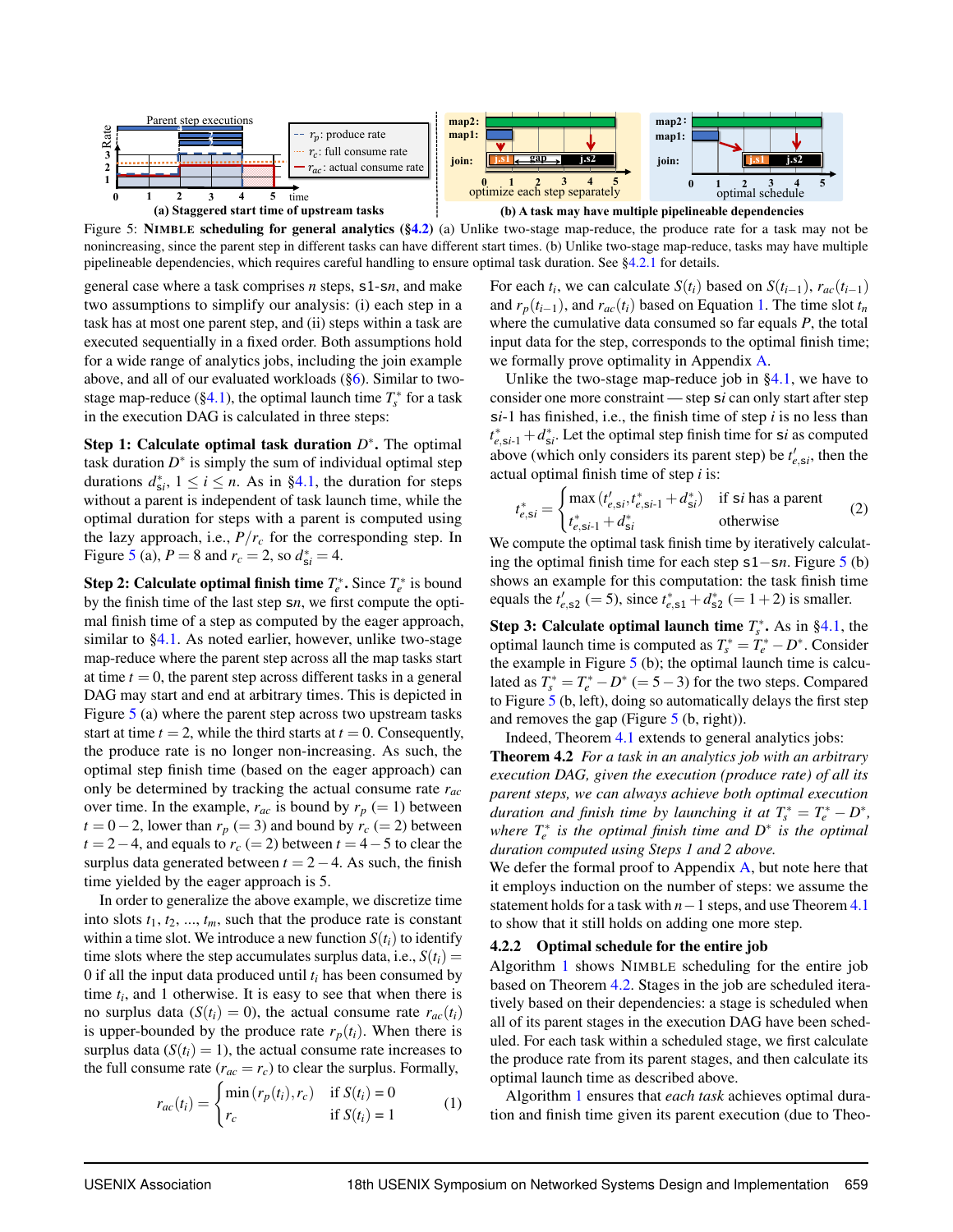<span id="page-7-0"></span>

Figure 5: NIMBLE scheduling for general analytics ([§4.2\)](#page-6-0) (a) Unlike two-stage map-reduce, the produce rate for a task may not be nonincreasing, since the parent step in different tasks can have different start times. (b) Unlike two-stage map-reduce, tasks may have multiple pipelineable dependencies, which requires careful handling to ensure optimal task duration. See [§4.2.1](#page-6-2) for details.

general case where a task comprises *n* steps, s1-s*n*, and make two assumptions to simplify our analysis: (i) each step in a task has at most one parent step, and (ii) steps within a task are executed sequentially in a fixed order. Both assumptions hold for a wide range of analytics jobs, including the join example above, and all of our evaluated workloads  $(\S6)$ . Similar to twostage map-reduce ( $\S 4.1$ ), the optimal launch time  $T_s^*$  for a task in the execution DAG is calculated in three steps:

Step 1: Calculate optimal task duration  $D^*$ . The optimal task duration  $D^*$  is simply the sum of individual optimal step durations  $d_{\textrm{s}i}^*$ ,  $1 \le i \le n$ . As in [§4.1,](#page-5-1) the duration for steps without a parent is independent of task launch time, while the optimal duration for steps with a parent is computed using the lazy approach, i.e.,  $P/r_c$  for the corresponding step. In Figure [5](#page-7-0) (a),  $P = 8$  and  $r_c = 2$ , so  $d_{si}^* = 4$ .

**Step 2: Calculate optimal finish time**  $T_e^*$ **. Since**  $T_e^*$  **is bound** by the finish time of the last step s*n*, we first compute the optimal finish time of a step as computed by the eager approach, similar to [§4.1.](#page-5-1) As noted earlier, however, unlike two-stage map-reduce where the parent step across all the map tasks start at time  $t = 0$ , the parent step across different tasks in a general DAG may start and end at arbitrary times. This is depicted in Figure [5](#page-7-0) (a) where the parent step across two upstream tasks start at time  $t = 2$ , while the third starts at  $t = 0$ . Consequently, the produce rate is no longer non-increasing. As such, the optimal step finish time (based on the eager approach) can only be determined by tracking the actual consume rate *rac* over time. In the example,  $r_{ac}$  is bound by  $r_p (= 1)$  between  $t = 0-2$ , lower than  $r_p (= 3)$  and bound by  $r_c (= 2)$  between  $t = 2-4$ , and equals to  $r_c (= 2)$  between  $t = 4-5$  to clear the surplus data generated between  $t = 2 - 4$ . As such, the finish time yielded by the eager approach is 5.

In order to generalize the above example, we discretize time into slots  $t_1, t_2, ..., t_m$ , such that the produce rate is constant within a time slot. We introduce a new function  $S(t_i)$  to identify time slots where the step accumulates surplus data, i.e.,  $S(t_i)$  = 0 if all the input data produced until  $t_i$  has been consumed by time  $t_i$ , and 1 otherwise. It is easy to see that when there is no surplus data ( $S(t_i) = 0$ ), the actual consume rate  $r_{ac}(t_i)$ is upper-bounded by the produce rate  $r_p(t_i)$ . When there is surplus data  $(S(t_i) = 1)$ , the actual consume rate increases to the full consume rate  $(r_{ac} = r_c)$  to clear the surplus. Formally,

$$
r_{ac}(t_i) = \begin{cases} \min(r_p(t_i), r_c) & \text{if } S(t_i) = 0\\ r_c & \text{if } S(t_i) = 1 \end{cases}
$$
 (1)

For each  $t_i$ , we can calculate  $S(t_i)$  based on  $S(t_{i-1})$ ,  $r_{ac}(t_{i-1})$ and  $r_p(t_{i-1})$ , and  $r_{ac}(t_i)$  based on Equation [1.](#page-7-1) The time slot  $t_n$ where the cumulative data consumed so far equals *P*, the total input data for the step, corresponds to the optimal finish time; we formally prove optimality in Appendix [A.](#page-16-0)

Unlike the two-stage map-reduce job in  $\S 4.1$ , we have to consider one more constraint — step s*i* can only start after step s*i*-1 has finished, i.e., the finish time of step *i* is no less than  $t_{e,si-1}^* + d_{si}^*$ . Let the optimal step finish time for s*i* as computed above (which only considers its parent step) be  $t'_{e,5i}$ , then the actual optimal finish time of step *i* is:

<span id="page-7-3"></span>
$$
t_{e,si}^* = \begin{cases} \max(t_{e,si}', t_{e,si-1}^* + d_{si}^*) & \text{if si has a parent} \\ t_{e,si-1}^* + d_{si}^* & \text{otherwise} \end{cases}
$$
 (2)

We compute the optimal task finish time by iteratively calculating the optimal finish time for each step s1−s*n*. Figure [5](#page-7-0) (b) shows an example for this computation: the task finish time equals the  $t'_{e,52} (= 5)$ , since  $t^*_{e,51} + d^*_{52} (= 1+2)$  is smaller.

**Step 3: Calculate optimal launch time**  $T_s^*$ **.** As in [§4.1,](#page-5-1) the optimal launch time is computed as  $T_s^* = T_e^* - D^*$ . Consider the example in Figure  $5$  (b); the optimal launch time is calculated as  $T_s^* = T_e^* - D^* (= 5 - 3)$  for the two steps. Compared to Figure [5](#page-7-0) (b, left), doing so automatically delays the first step and removes the gap (Figure  $5$  (b, right)).

<span id="page-7-2"></span>Indeed, Theorem [4.1](#page-6-1) extends to general analytics jobs:

Theorem 4.2 *For a task in an analytics job with an arbitrary execution DAG, given the execution (produce rate) of all its parent steps, we can always achieve both optimal execution duration and finish time by launching it at*  $T_s^* = T_e^* - D^*$ , *where*  $T_e^*$  *is the optimal finish time and*  $D^*$  *is the optimal duration computed using Steps 1 and 2 above.*

We defer the formal proof to Appendix [A,](#page-16-0) but note here that it employs induction on the number of steps: we assume the statement holds for a task with *n*−1 steps, and use Theorem [4.1](#page-6-1) to show that it still holds on adding one more step.

#### 4.2.2 Optimal schedule for the entire job

Algorithm [1](#page-8-1) shows NIMBLE scheduling for the entire job based on Theorem [4.2.](#page-7-2) Stages in the job are scheduled iteratively based on their dependencies: a stage is scheduled when all of its parent stages in the execution DAG have been scheduled. For each task within a scheduled stage, we first calculate the produce rate from its parent stages, and then calculate its optimal launch time as described above.

<span id="page-7-1"></span>Algorithm [1](#page-8-1) ensures that *each task* achieves optimal duration and finish time given its parent execution (due to Theo-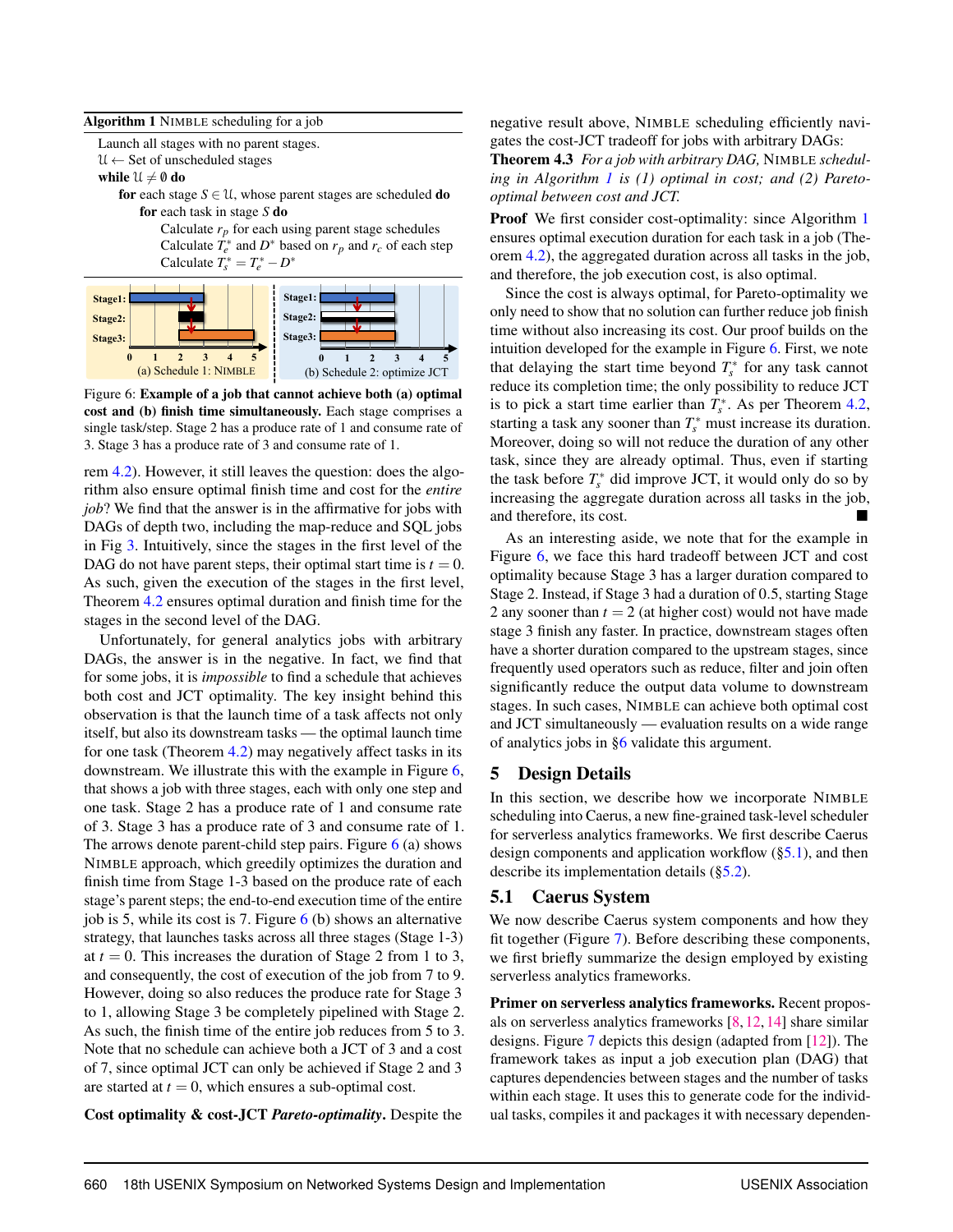#### <span id="page-8-1"></span>Algorithm 1 NIMBLE scheduling for a job

Launch all stages with no parent stages.

 $\mathcal{U} \leftarrow$  Set of unscheduled stages

while  $\mathcal{U} \neq \emptyset$  do

for each stage  $S \in \mathcal{U}$ , whose parent stages are scheduled **do** for each task in stage *S* do

> Calculate  $r_p$  for each using parent stage schedules Calculate  $\overline{T}_e^*$  and  $D^*$  based on  $r_p$  and  $r_c$  of each step Calculate  $T_s^* = T_e^* - D^*$

<span id="page-8-2"></span>

Figure 6: Example of a job that cannot achieve both (a) optimal cost and (b) finish time simultaneously. Each stage comprises a single task/step. Stage 2 has a produce rate of 1 and consume rate of 3. Stage 3 has a produce rate of 3 and consume rate of 1.

rem [4.2\)](#page-7-2). However, it still leaves the question: does the algorithm also ensure optimal finish time and cost for the *entire job*? We find that the answer is in the affirmative for jobs with DAGs of depth two, including the map-reduce and SQL jobs in Fig [3.](#page-4-1) Intuitively, since the stages in the first level of the DAG do not have parent steps, their optimal start time is  $t = 0$ . As such, given the execution of the stages in the first level, Theorem [4.2](#page-7-2) ensures optimal duration and finish time for the stages in the second level of the DAG.

Unfortunately, for general analytics jobs with arbitrary DAGs, the answer is in the negative. In fact, we find that for some jobs, it is *impossible* to find a schedule that achieves both cost and JCT optimality. The key insight behind this observation is that the launch time of a task affects not only itself, but also its downstream tasks — the optimal launch time for one task (Theorem [4.2\)](#page-7-2) may negatively affect tasks in its downstream. We illustrate this with the example in Figure [6,](#page-8-2) that shows a job with three stages, each with only one step and one task. Stage 2 has a produce rate of 1 and consume rate of 3. Stage 3 has a produce rate of 3 and consume rate of 1. The arrows denote parent-child step pairs. Figure  $6$  (a) shows NIMBLE approach, which greedily optimizes the duration and finish time from Stage 1-3 based on the produce rate of each stage's parent steps; the end-to-end execution time of the entire job is 5, while its cost is 7. Figure  $6$  (b) shows an alternative strategy, that launches tasks across all three stages (Stage 1-3) at  $t = 0$ . This increases the duration of Stage 2 from 1 to 3, and consequently, the cost of execution of the job from 7 to 9. However, doing so also reduces the produce rate for Stage 3 to 1, allowing Stage 3 be completely pipelined with Stage 2. As such, the finish time of the entire job reduces from 5 to 3. Note that no schedule can achieve both a JCT of 3 and a cost of 7, since optimal JCT can only be achieved if Stage 2 and 3 are started at  $t = 0$ , which ensures a sub-optimal cost.

Cost optimality & cost-JCT *Pareto-optimality*. Despite the

negative result above, NIMBLE scheduling efficiently navigates the cost-JCT tradeoff for jobs with arbitrary DAGs:

Theorem 4.3 *For a job with arbitrary DAG,* NIMBLE *scheduling in Algorithm [1](#page-8-1) is (1) optimal in cost; and (2) Paretooptimal between cost and JCT.*

**Proof** We first consider cost-optimality: since Algorithm [1](#page-8-1) ensures optimal execution duration for each task in a job (Theorem [4.2\)](#page-7-2), the aggregated duration across all tasks in the job, and therefore, the job execution cost, is also optimal.

Since the cost is always optimal, for Pareto-optimality we only need to show that no solution can further reduce job finish time without also increasing its cost. Our proof builds on the intuition developed for the example in Figure [6.](#page-8-2) First, we note that delaying the start time beyond  $T_s^*$  for any task cannot reduce its completion time; the only possibility to reduce JCT is to pick a start time earlier than  $T_s^*$ . As per Theorem [4.2,](#page-7-2) starting a task any sooner than  $T_s^*$  must increase its duration. Moreover, doing so will not reduce the duration of any other task, since they are already optimal. Thus, even if starting the task before  $T_s^*$  did improve JCT, it would only do so by increasing the aggregate duration across all tasks in the job, and therefore, its cost.

As an interesting aside, we note that for the example in Figure [6,](#page-8-2) we face this hard tradeoff between JCT and cost optimality because Stage 3 has a larger duration compared to Stage 2. Instead, if Stage 3 had a duration of 0.5, starting Stage 2 any sooner than  $t = 2$  (at higher cost) would not have made stage 3 finish any faster. In practice, downstream stages often have a shorter duration compared to the upstream stages, since frequently used operators such as reduce, filter and join often significantly reduce the output data volume to downstream stages. In such cases, NIMBLE can achieve both optimal cost and JCT simultaneously — evaluation results on a wide range of analytics jobs in [§6](#page-10-0) validate this argument.

#### <span id="page-8-0"></span>5 Design Details

In this section, we describe how we incorporate NIMBLE scheduling into Caerus, a new fine-grained task-level scheduler for serverless analytics frameworks. We first describe Caerus design components and application workflow ([§5.1\)](#page-8-3), and then describe its implementation details ([§5.2\)](#page-9-0).

#### <span id="page-8-3"></span>5.1 Caerus System

We now describe Caerus system components and how they fit together (Figure [7\)](#page-9-1). Before describing these components, we first briefly summarize the design employed by existing serverless analytics frameworks.

Primer on serverless analytics frameworks. Recent proposals on serverless analytics frameworks [\[8,](#page-14-17) [12,](#page-14-9) [14\]](#page-14-7) share similar designs. Figure [7](#page-9-1) depicts this design (adapted from [\[12\]](#page-14-9)). The framework takes as input a job execution plan (DAG) that captures dependencies between stages and the number of tasks within each stage. It uses this to generate code for the individual tasks, compiles it and packages it with necessary dependen-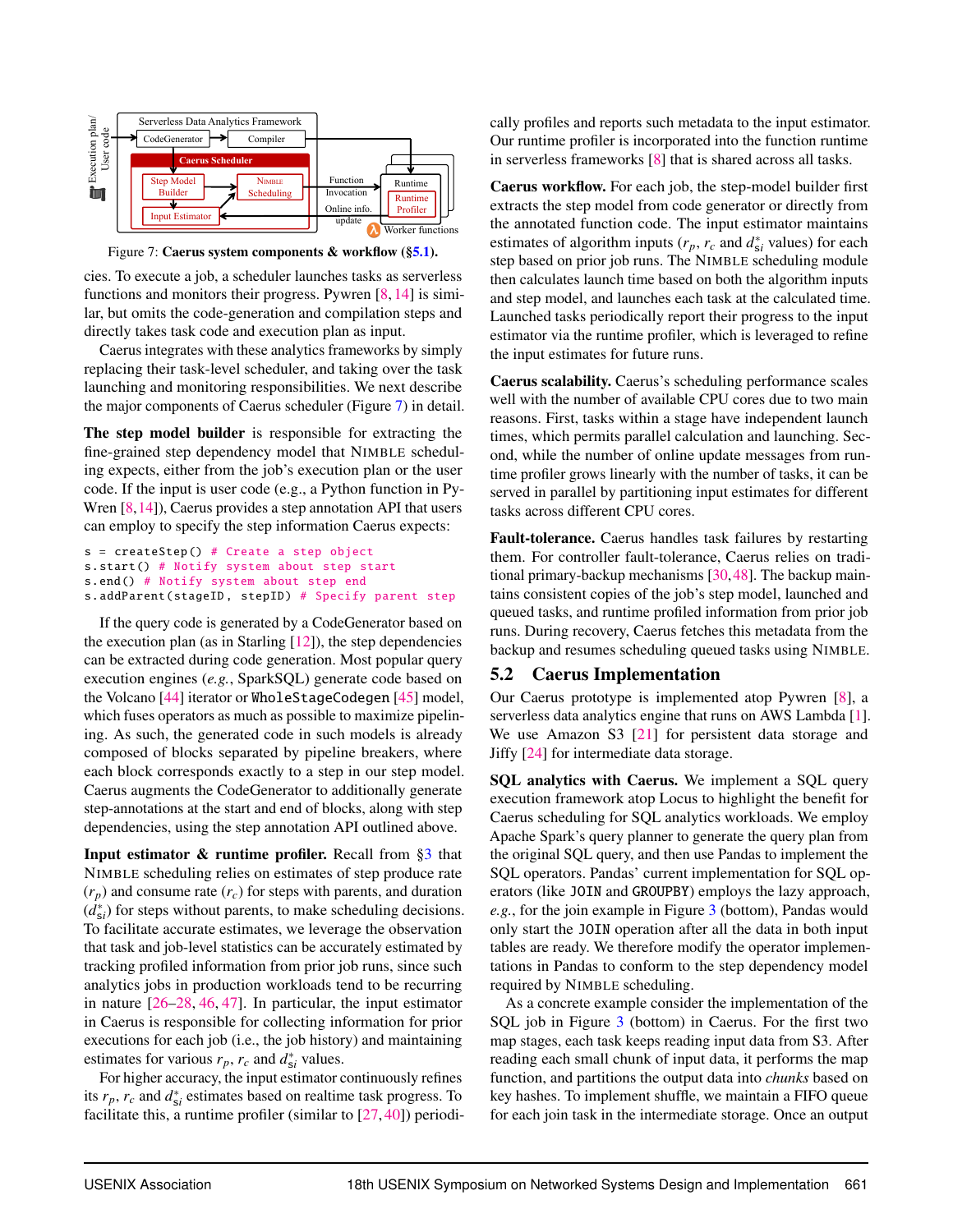<span id="page-9-1"></span>

Figure 7: Caerus system components & workflow ([§5.1\)](#page-8-3).

cies. To execute a job, a scheduler launches tasks as serverless functions and monitors their progress. Pywren [\[8,](#page-14-17) [14\]](#page-14-7) is similar, but omits the code-generation and compilation steps and directly takes task code and execution plan as input.

Caerus integrates with these analytics frameworks by simply replacing their task-level scheduler, and taking over the task launching and monitoring responsibilities. We next describe the major components of Caerus scheduler (Figure [7\)](#page-9-1) in detail.

The step model builder is responsible for extracting the fine-grained step dependency model that NIMBLE scheduling expects, either from the job's execution plan or the user code. If the input is user code (e.g., a Python function in Py-Wren [\[8,](#page-14-17)[14\]](#page-14-7)), Caerus provides a step annotation API that users can employ to specify the step information Caerus expects:

```
s = \text{createStep}() # Create a step object
s.start () # Notify system about step start
s.end() # Notify system about step end
s.addParent (stageID, stepID) # Specify parent step
```
If the query code is generated by a CodeGenerator based on the execution plan (as in Starling  $[12]$ ), the step dependencies can be extracted during code generation. Most popular query execution engines (*e.g.*, SparkSQL) generate code based on the Volcano [\[44\]](#page-15-15) iterator or WholeStageCodegen [\[45\]](#page-15-16) model, which fuses operators as much as possible to maximize pipelining. As such, the generated code in such models is already composed of blocks separated by pipeline breakers, where each block corresponds exactly to a step in our step model. Caerus augments the CodeGenerator to additionally generate step-annotations at the start and end of blocks, along with step dependencies, using the step annotation API outlined above.

Input estimator & runtime profiler. Recall from [§3](#page-4-0) that NIMBLE scheduling relies on estimates of step produce rate  $(r_p)$  and consume rate  $(r_c)$  for steps with parents, and duration  $(d_{si}^*)$  for steps without parents, to make scheduling decisions. To facilitate accurate estimates, we leverage the observation that task and job-level statistics can be accurately estimated by tracking profiled information from prior job runs, since such analytics jobs in production workloads tend to be recurring in nature [\[26](#page-14-18)[–28,](#page-15-0) [46,](#page-15-17) [47\]](#page-15-18). In particular, the input estimator in Caerus is responsible for collecting information for prior executions for each job (i.e., the job history) and maintaining estimates for various  $r_p$ ,  $r_c$  and  $d_{si}^*$  values.

For higher accuracy, the input estimator continuously refines its  $r_p$ ,  $r_c$  and  $d_{si}^*$  estimates based on realtime task progress. To facilitate this, a runtime profiler (similar to [\[27,](#page-14-15) [40\]](#page-15-11)) periodically profiles and reports such metadata to the input estimator. Our runtime profiler is incorporated into the function runtime in serverless frameworks [\[8\]](#page-14-17) that is shared across all tasks.

Caerus workflow. For each job, the step-model builder first extracts the step model from code generator or directly from the annotated function code. The input estimator maintains estimates of algorithm inputs ( $r_p$ ,  $r_c$  and  $d_{si}^*$  values) for each step based on prior job runs. The NIMBLE scheduling module then calculates launch time based on both the algorithm inputs and step model, and launches each task at the calculated time. Launched tasks periodically report their progress to the input estimator via the runtime profiler, which is leveraged to refine the input estimates for future runs.

Caerus scalability. Caerus's scheduling performance scales well with the number of available CPU cores due to two main reasons. First, tasks within a stage have independent launch times, which permits parallel calculation and launching. Second, while the number of online update messages from runtime profiler grows linearly with the number of tasks, it can be served in parallel by partitioning input estimates for different tasks across different CPU cores.

Fault-tolerance. Caerus handles task failures by restarting them. For controller fault-tolerance, Caerus relies on traditional primary-backup mechanisms [\[30,](#page-15-3)[48\]](#page-15-19). The backup maintains consistent copies of the job's step model, launched and queued tasks, and runtime profiled information from prior job runs. During recovery, Caerus fetches this metadata from the backup and resumes scheduling queued tasks using NIMBLE.

## <span id="page-9-0"></span>5.2 Caerus Implementation

Our Caerus prototype is implemented atop Pywren [\[8\]](#page-14-17), a serverless data analytics engine that runs on AWS Lambda [\[1\]](#page-14-0). We use Amazon S3 [\[21\]](#page-14-12) for persistent data storage and Jiffy [\[24\]](#page-14-13) for intermediate data storage.

SQL analytics with Caerus. We implement a SQL query execution framework atop Locus to highlight the benefit for Caerus scheduling for SQL analytics workloads. We employ Apache Spark's query planner to generate the query plan from the original SQL query, and then use Pandas to implement the SQL operators. Pandas' current implementation for SQL operators (like JOIN and GROUPBY) employs the lazy approach, *e.g.*, for the join example in Figure [3](#page-4-1) (bottom), Pandas would only start the JOIN operation after all the data in both input tables are ready. We therefore modify the operator implementations in Pandas to conform to the step dependency model required by NIMBLE scheduling.

As a concrete example consider the implementation of the SQL job in Figure [3](#page-4-1) (bottom) in Caerus. For the first two map stages, each task keeps reading input data from S3. After reading each small chunk of input data, it performs the map function, and partitions the output data into *chunks* based on key hashes. To implement shuffle, we maintain a FIFO queue for each join task in the intermediate storage. Once an output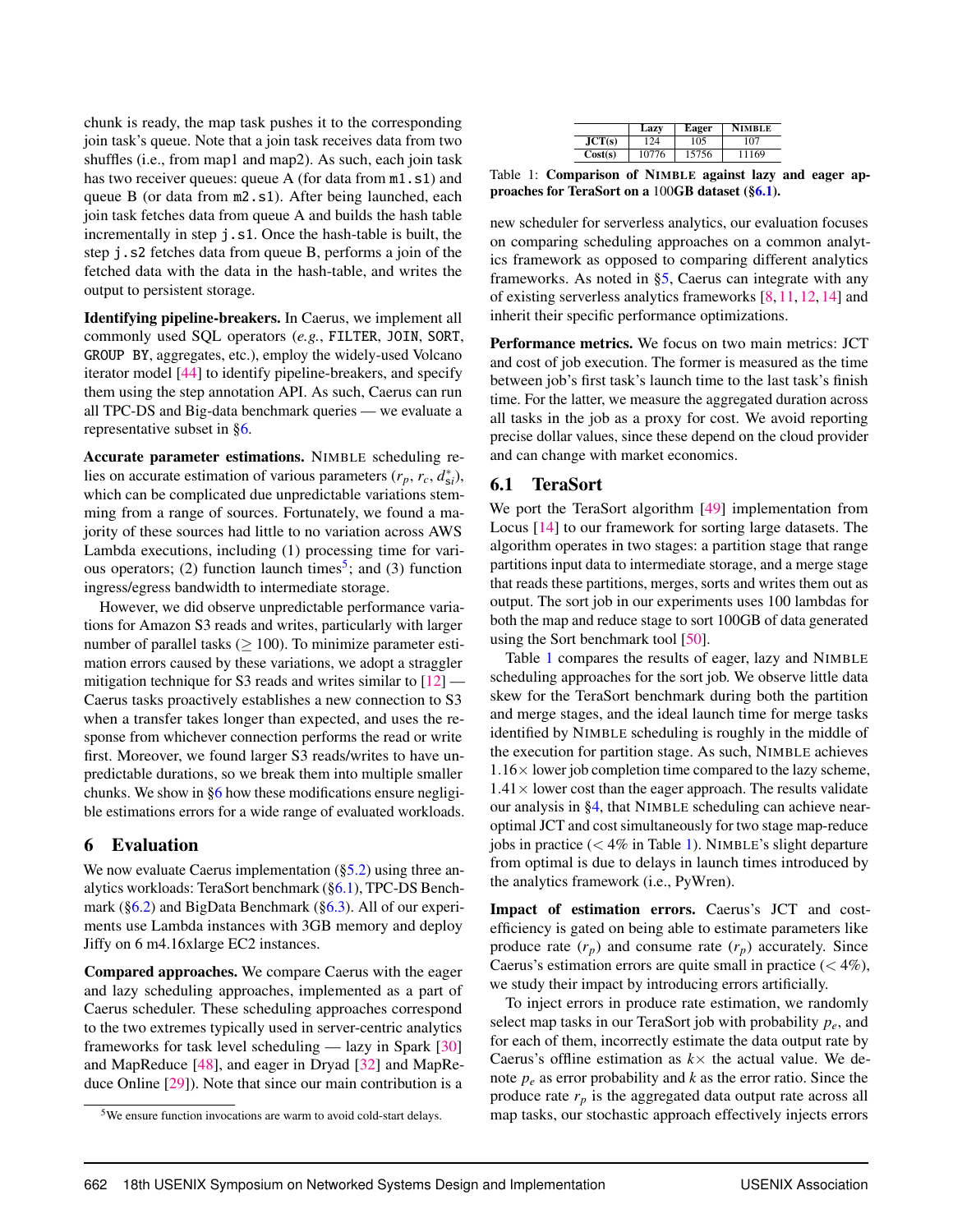chunk is ready, the map task pushes it to the corresponding join task's queue. Note that a join task receives data from two shuffles (i.e., from map1 and map2). As such, each join task has two receiver queues: queue A (for data from m1.s1) and queue B (or data from m2.s1). After being launched, each join task fetches data from queue A and builds the hash table incrementally in step j.s1. Once the hash-table is built, the step j.s2 fetches data from queue B, performs a join of the fetched data with the data in the hash-table, and writes the output to persistent storage.

Identifying pipeline-breakers. In Caerus, we implement all commonly used SQL operators (*e.g.*, FILTER, JOIN, SORT, GROUP BY, aggregates, etc.), employ the widely-used Volcano iterator model [\[44\]](#page-15-15) to identify pipeline-breakers, and specify them using the step annotation API. As such, Caerus can run all TPC-DS and Big-data benchmark queries — we evaluate a representative subset in [§6.](#page-10-0)

Accurate parameter estimations. NIMBLE scheduling relies on accurate estimation of various parameters  $(r_p, r_c, d_{si}^*)$ , which can be complicated due unpredictable variations stemming from a range of sources. Fortunately, we found a majority of these sources had little to no variation across AWS Lambda executions, including (1) processing time for vari-ous operators; (2) function launch times<sup>[5](#page-1-0)</sup>; and (3) function ingress/egress bandwidth to intermediate storage.

However, we did observe unpredictable performance variations for Amazon S3 reads and writes, particularly with larger number of parallel tasks  $(> 100)$ . To minimize parameter estimation errors caused by these variations, we adopt a straggler mitigation technique for S3 reads and writes similar to  $[12]$  — Caerus tasks proactively establishes a new connection to S3 when a transfer takes longer than expected, and uses the response from whichever connection performs the read or write first. Moreover, we found larger S3 reads/writes to have unpredictable durations, so we break them into multiple smaller chunks. We show in [§6](#page-10-0) how these modifications ensure negligible estimations errors for a wide range of evaluated workloads.

# <span id="page-10-0"></span>6 Evaluation

We now evaluate Caerus implementation  $(\S$ 5.2) using three analytics workloads: TeraSort benchmark ([§6.1\)](#page-10-1), TPC-DS Benchmark ([§6.2\)](#page-11-0) and BigData Benchmark ([§6.3\)](#page-12-0). All of our experiments use Lambda instances with 3GB memory and deploy Jiffy on 6 m4.16xlarge EC2 instances.

Compared approaches. We compare Caerus with the eager and lazy scheduling approaches, implemented as a part of Caerus scheduler. These scheduling approaches correspond to the two extremes typically used in server-centric analytics frameworks for task level scheduling — lazy in Spark [\[30\]](#page-15-3) and MapReduce [\[48\]](#page-15-19), and eager in Dryad [\[32\]](#page-15-2) and MapReduce Online [\[29\]](#page-15-1)). Note that since our main contribution is a

|         | Lazy  | Eager | <b>NIMBLE</b> |
|---------|-------|-------|---------------|
| JCT(s)  | 24    | 105   | 107           |
| Cost(s) | 10776 | 15756 | 11169         |

<span id="page-10-2"></span>Table 1: Comparison of NIMBLE against lazy and eager approaches for TeraSort on a 100GB dataset ([§6.1\)](#page-10-1).

new scheduler for serverless analytics, our evaluation focuses on comparing scheduling approaches on a common analytics framework as opposed to comparing different analytics frameworks. As noted in [§5,](#page-8-0) Caerus can integrate with any of existing serverless analytics frameworks [\[8,](#page-14-17) [11,](#page-14-16) [12,](#page-14-9) [14\]](#page-14-7) and inherit their specific performance optimizations.

Performance metrics. We focus on two main metrics: JCT and cost of job execution. The former is measured as the time between job's first task's launch time to the last task's finish time. For the latter, we measure the aggregated duration across all tasks in the job as a proxy for cost. We avoid reporting precise dollar values, since these depend on the cloud provider and can change with market economics.

## <span id="page-10-1"></span>6.1 TeraSort

We port the TeraSort algorithm [\[49\]](#page-15-20) implementation from Locus [\[14\]](#page-14-7) to our framework for sorting large datasets. The algorithm operates in two stages: a partition stage that range partitions input data to intermediate storage, and a merge stage that reads these partitions, merges, sorts and writes them out as output. The sort job in our experiments uses 100 lambdas for both the map and reduce stage to sort 100GB of data generated using the Sort benchmark tool [\[50\]](#page-15-21).

Table [1](#page-10-2) compares the results of eager, lazy and NIMBLE scheduling approaches for the sort job. We observe little data skew for the TeraSort benchmark during both the partition and merge stages, and the ideal launch time for merge tasks identified by NIMBLE scheduling is roughly in the middle of the execution for partition stage. As such, NIMBLE achieves  $1.16\times$  lower job completion time compared to the lazy scheme,  $1.41 \times$  lower cost than the eager approach. The results validate our analysis in [§4,](#page-5-0) that NIMBLE scheduling can achieve nearoptimal JCT and cost simultaneously for two stage map-reduce jobs in practice  $(< 4\%$  in Table [1\)](#page-10-2). NIMBLE's slight departure from optimal is due to delays in launch times introduced by the analytics framework (i.e., PyWren).

Impact of estimation errors. Caerus's JCT and costefficiency is gated on being able to estimate parameters like produce rate  $(r_p)$  and consume rate  $(r_p)$  accurately. Since Caerus's estimation errors are quite small in practice  $(< 4\%$ ), we study their impact by introducing errors artificially.

To inject errors in produce rate estimation, we randomly select map tasks in our TeraSort job with probability *pe*, and for each of them, incorrectly estimate the data output rate by Caerus's offline estimation as  $k \times$  the actual value. We denote *p<sup>e</sup>* as error probability and *k* as the error ratio. Since the produce rate  $r_p$  is the aggregated data output rate across all map tasks, our stochastic approach effectively injects errors

<sup>&</sup>lt;sup>5</sup>We ensure function invocations are warm to avoid cold-start delays.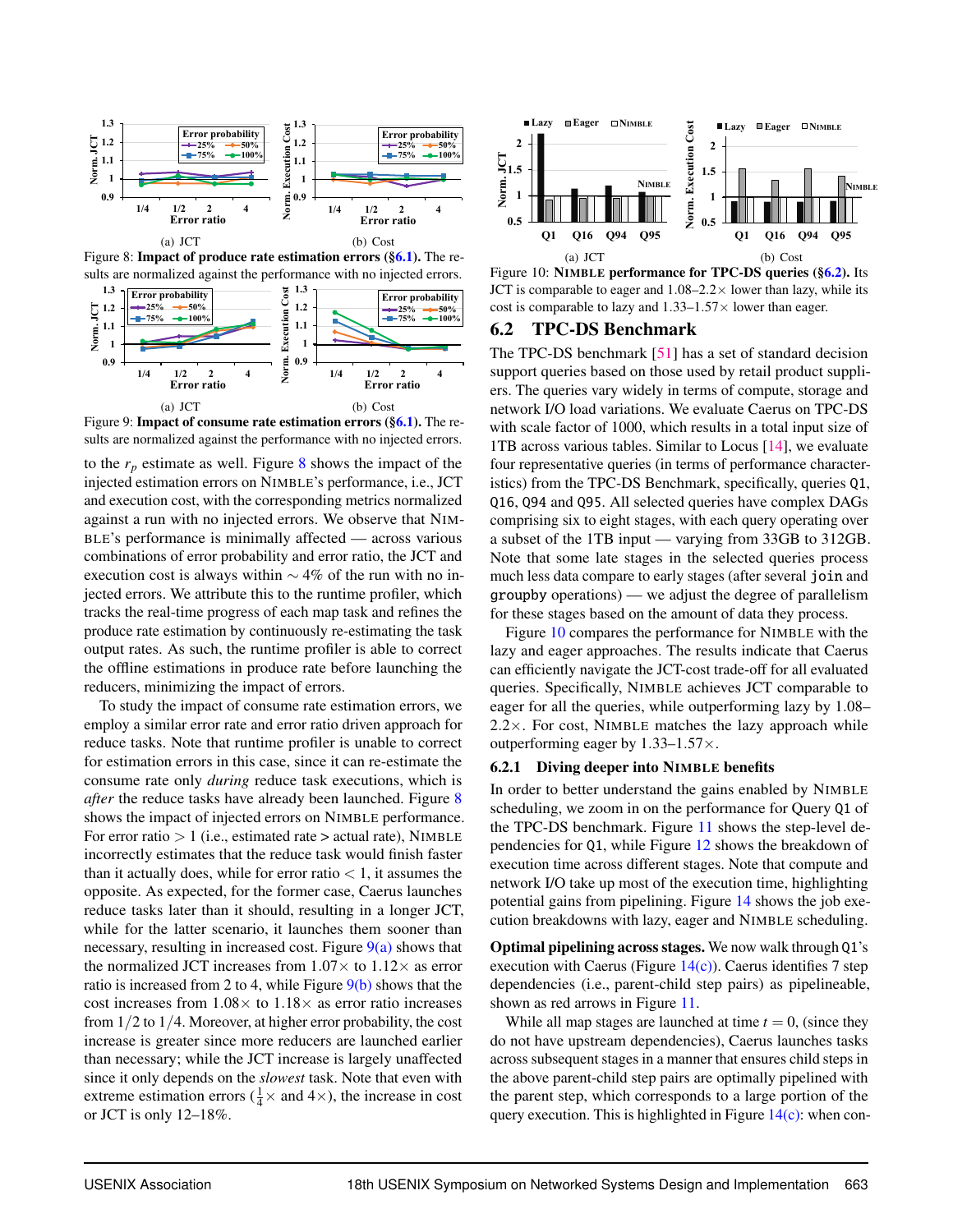<span id="page-11-1"></span>

Figure 8: **Impact of produce rate estimation errors ([§6.1\)](#page-10-1).** The results are normalized against the performance with no injected errors.

<span id="page-11-2"></span>

<span id="page-11-3"></span>Figure 9: **Impact of consume rate estimation errors ([§6.1\)](#page-10-1).** The results are normalized against the performance with no injected errors.

to the  $r_p$  estimate as well. Figure [8](#page-11-1) shows the impact of the injected estimation errors on NIMBLE's performance, i.e., JCT and execution cost, with the corresponding metrics normalized against a run with no injected errors. We observe that NIM-BLE's performance is minimally affected — across various combinations of error probability and error ratio, the JCT and execution cost is always within  $\sim$  4% of the run with no injected errors. We attribute this to the runtime profiler, which tracks the real-time progress of each map task and refines the produce rate estimation by continuously re-estimating the task output rates. As such, the runtime profiler is able to correct the offline estimations in produce rate before launching the reducers, minimizing the impact of errors.

To study the impact of consume rate estimation errors, we employ a similar error rate and error ratio driven approach for reduce tasks. Note that runtime profiler is unable to correct for estimation errors in this case, since it can re-estimate the consume rate only *during* reduce task executions, which is *after* the reduce tasks have already been launched. Figure [8](#page-11-1) shows the impact of injected errors on NIMBLE performance. For error ratio  $> 1$  (i.e., estimated rate  $>$  actual rate), NIMBLE incorrectly estimates that the reduce task would finish faster than it actually does, while for error ratio  $< 1$ , it assumes the opposite. As expected, for the former case, Caerus launches reduce tasks later than it should, resulting in a longer JCT, while for the latter scenario, it launches them sooner than necessary, resulting in increased cost. Figure  $9(a)$  shows that the normalized JCT increases from  $1.07\times$  to  $1.12\times$  as error ratio is increased from 2 to 4, while Figure  $9(b)$  shows that the cost increases from  $1.08 \times$  to  $1.18 \times$  as error ratio increases from 1/2 to 1/4. Moreover, at higher error probability, the cost increase is greater since more reducers are launched earlier than necessary; while the JCT increase is largely unaffected since it only depends on the *slowest* task. Note that even with extreme estimation errors ( $\frac{1}{4} \times$  and  $4 \times$ ), the increase in cost or JCT is only 12–18%.

<span id="page-11-4"></span>

Figure 10: NIMBLE performance for TPC-DS queries ([§6.2\)](#page-11-0). Its JCT is comparable to eager and  $1.08-2.2\times$  lower than lazy, while its cost is comparable to lazy and  $1.33-1.57\times$  lower than eager.

#### <span id="page-11-0"></span>6.2 TPC-DS Benchmark

The TPC-DS benchmark [\[51\]](#page-15-22) has a set of standard decision support queries based on those used by retail product suppliers. The queries vary widely in terms of compute, storage and network I/O load variations. We evaluate Caerus on TPC-DS with scale factor of 1000, which results in a total input size of 1TB across various tables. Similar to Locus [\[14\]](#page-14-7), we evaluate four representative queries (in terms of performance characteristics) from the TPC-DS Benchmark, specifically, queries Q1, Q16, Q94 and Q95. All selected queries have complex DAGs comprising six to eight stages, with each query operating over a subset of the 1TB input — varying from 33GB to 312GB. Note that some late stages in the selected queries process much less data compare to early stages (after several join and groupby operations) — we adjust the degree of parallelism for these stages based on the amount of data they process.

Figure [10](#page-11-4) compares the performance for NIMBLE with the lazy and eager approaches. The results indicate that Caerus can efficiently navigate the JCT-cost trade-off for all evaluated queries. Specifically, NIMBLE achieves JCT comparable to eager for all the queries, while outperforming lazy by 1.08–  $2.2\times$ . For cost, NIMBLE matches the lazy approach while outperforming eager by  $1.33-1.57\times$ .

#### <span id="page-11-5"></span>6.2.1 Diving deeper into NIMBLE benefits

In order to better understand the gains enabled by NIMBLE scheduling, we zoom in on the performance for Query Q1 of the TPC-DS benchmark. Figure [11](#page-12-1) shows the step-level dependencies for Q1, while Figure [12](#page-12-1) shows the breakdown of execution time across different stages. Note that compute and network I/O take up most of the execution time, highlighting potential gains from pipelining. Figure [14](#page-12-2) shows the job execution breakdowns with lazy, eager and NIMBLE scheduling.

Optimal pipelining across stages. We now walk through Q1's execution with Caerus (Figure  $14(c)$ ). Caerus identifies 7 step dependencies (i.e., parent-child step pairs) as pipelineable, shown as red arrows in Figure [11.](#page-12-1)

While all map stages are launched at time  $t = 0$ , (since they do not have upstream dependencies), Caerus launches tasks across subsequent stages in a manner that ensures child steps in the above parent-child step pairs are optimally pipelined with the parent step, which corresponds to a large portion of the query execution. This is highlighted in Figure  $14(c)$ : when con-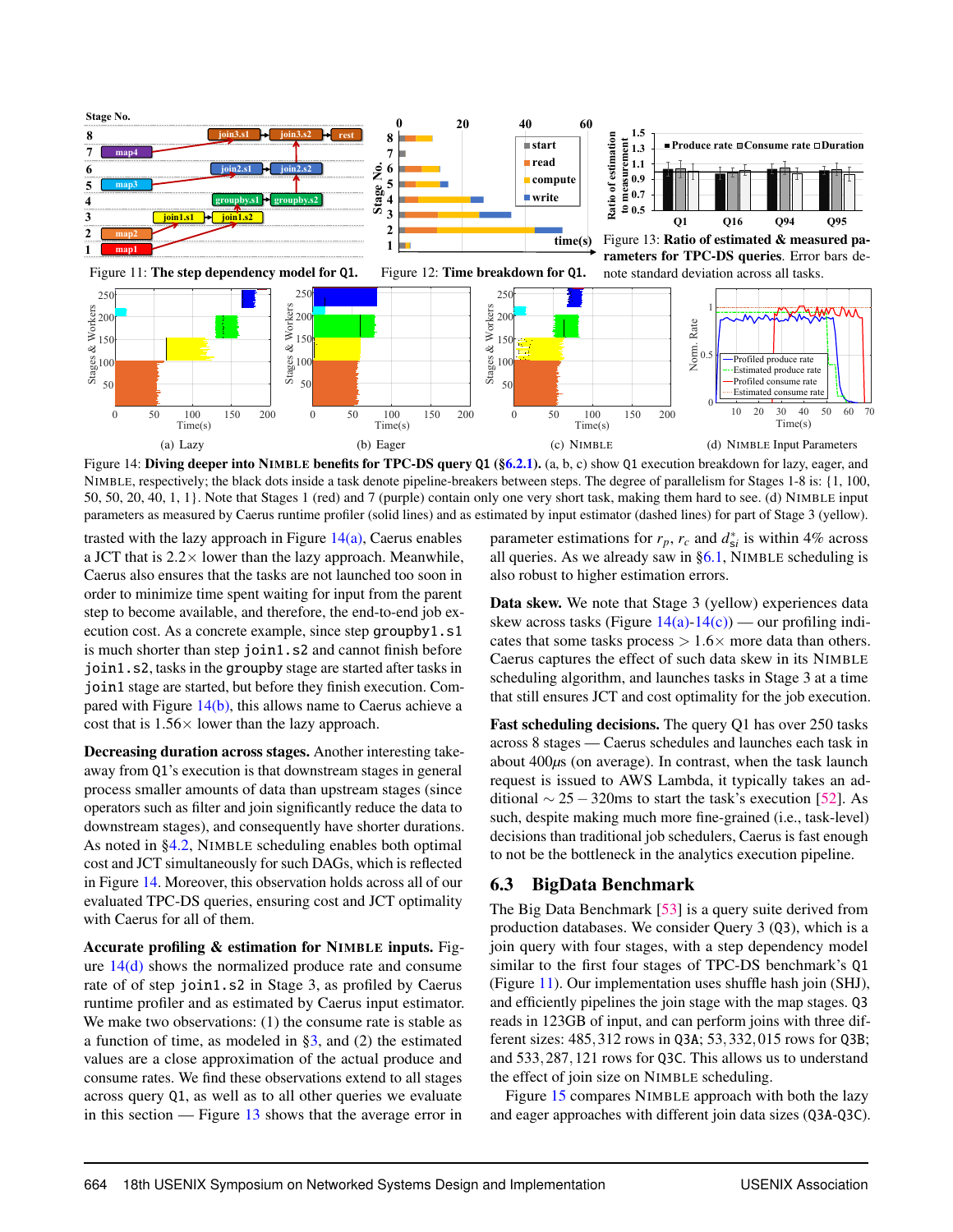<span id="page-12-4"></span><span id="page-12-2"></span><span id="page-12-1"></span>

<span id="page-12-5"></span>Figure 14: Diving deeper into NIMBLE benefits for TPC-DS query Q1 ([§6.2.1\)](#page-11-5). (a, b, c) show Q1 execution breakdown for lazy, eager, and NIMBLE, respectively; the black dots inside a task denote pipeline-breakers between steps. The degree of parallelism for Stages 1-8 is: {1, 100, 50, 50, 20, 40, 1, 1}. Note that Stages 1 (red) and 7 (purple) contain only one very short task, making them hard to see. (d) NIMBLE input parameters as measured by Caerus runtime profiler (solid lines) and as estimated by input estimator (dashed lines) for part of Stage 3 (yellow).

trasted with the lazy approach in Figure  $14(a)$ , Caerus enables a JCT that is  $2.2 \times$  lower than the lazy approach. Meanwhile, Caerus also ensures that the tasks are not launched too soon in order to minimize time spent waiting for input from the parent step to become available, and therefore, the end-to-end job execution cost. As a concrete example, since step groupby1.s1 is much shorter than step join1.s2 and cannot finish before join1.s2, tasks in the groupby stage are started after tasks in join1 stage are started, but before they finish execution. Compared with Figure  $14(b)$ , this allows name to Caerus achieve a cost that is  $1.56 \times$  lower than the lazy approach.

Decreasing duration across stages. Another interesting takeaway from Q1's execution is that downstream stages in general process smaller amounts of data than upstream stages (since operators such as filter and join significantly reduce the data to downstream stages), and consequently have shorter durations. As noted in [§4.2,](#page-6-0) NIMBLE scheduling enables both optimal cost and JCT simultaneously for such DAGs, which is reflected in Figure [14.](#page-12-2) Moreover, this observation holds across all of our evaluated TPC-DS queries, ensuring cost and JCT optimality with Caerus for all of them.

Accurate profiling & estimation for NIMBLE inputs. Figure  $14(d)$  shows the normalized produce rate and consume rate of of step join1.s2 in Stage 3, as profiled by Caerus runtime profiler and as estimated by Caerus input estimator. We make two observations: (1) the consume rate is stable as a function of time, as modeled in [§3,](#page-4-0) and (2) the estimated values are a close approximation of the actual produce and consume rates. We find these observations extend to all stages across query Q1, as well as to all other queries we evaluate in this section — Figure [13](#page-12-1) shows that the average error in

<span id="page-12-6"></span><span id="page-12-3"></span>parameter estimations for  $r_p$ ,  $r_c$  and  $d_{si}^*$  is within 4% across all queries. As we already saw in  $\S6.1$ , NIMBLE scheduling is also robust to higher estimation errors.

Data skew. We note that Stage 3 (yellow) experiences data skew across tasks (Figure  $14(a)-14(c)$  $14(a)-14(c)$ ) — our profiling indicates that some tasks process  $> 1.6 \times$  more data than others. Caerus captures the effect of such data skew in its NIMBLE scheduling algorithm, and launches tasks in Stage 3 at a time that still ensures JCT and cost optimality for the job execution.

Fast scheduling decisions. The query Q1 has over 250 tasks across 8 stages — Caerus schedules and launches each task in about 400*µ*s (on average). In contrast, when the task launch request is issued to AWS Lambda, it typically takes an additional  $\sim$  25 − 320ms to start the task's execution [\[52\]](#page-15-23). As such, despite making much more fine-grained (i.e., task-level) decisions than traditional job schedulers, Caerus is fast enough to not be the bottleneck in the analytics execution pipeline.

# <span id="page-12-0"></span>6.3 BigData Benchmark

The Big Data Benchmark [\[53\]](#page-15-24) is a query suite derived from production databases. We consider Query 3 (Q3), which is a join query with four stages, with a step dependency model similar to the first four stages of TPC-DS benchmark's Q1 (Figure [11\)](#page-12-1). Our implementation uses shuffle hash join (SHJ), and efficiently pipelines the join stage with the map stages. Q3 reads in 123GB of input, and can perform joins with three different sizes: 485,312 rows in Q3A; 53,332,015 rows for Q3B; and 533,287,121 rows for Q3C. This allows us to understand the effect of join size on NIMBLE scheduling.

Figure [15](#page-13-0) compares NIMBLE approach with both the lazy and eager approaches with different join data sizes (Q3A-Q3C).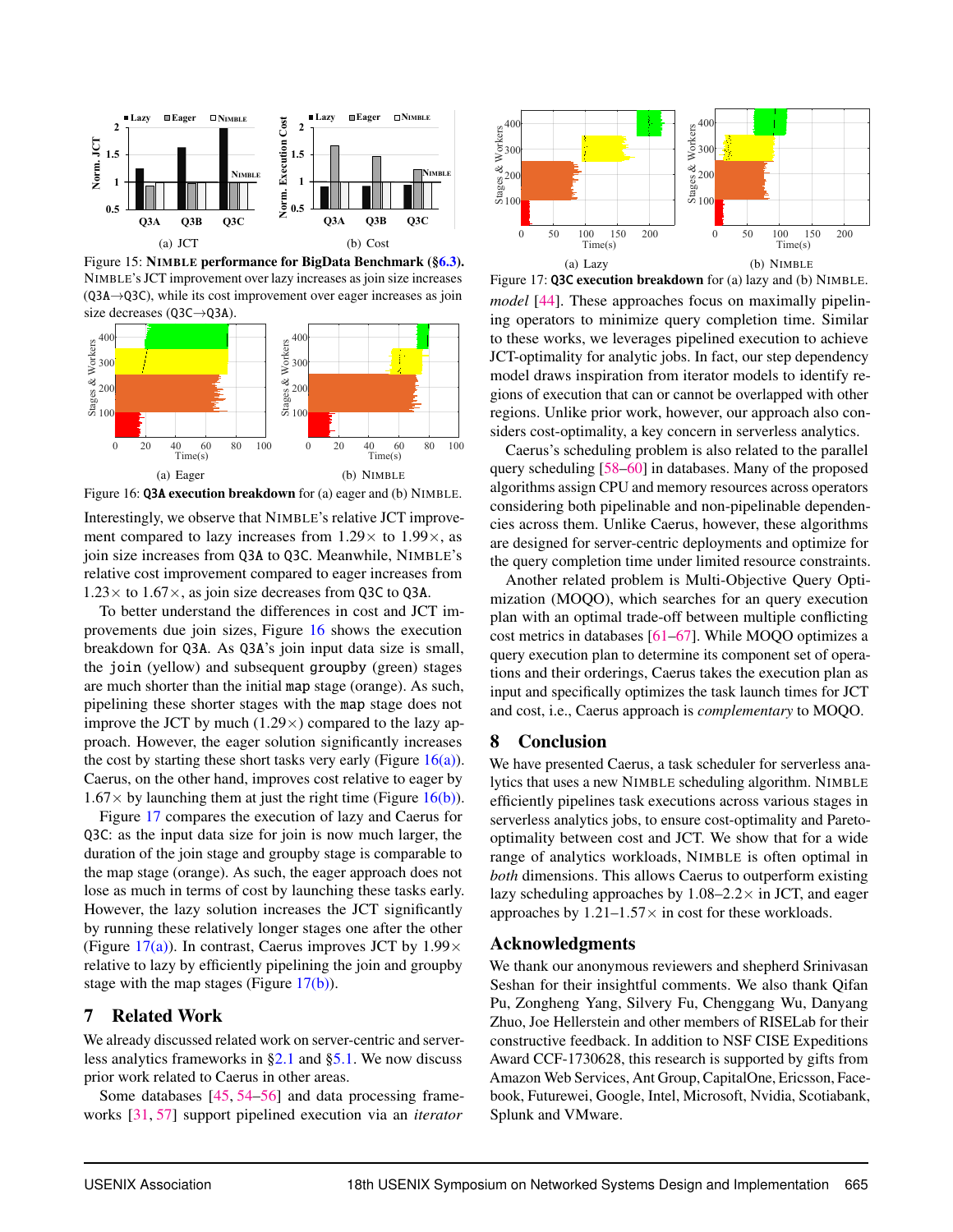<span id="page-13-0"></span>

Figure 15: NIMBLE performance for BigData Benchmark ([§6.3\)](#page-12-0). NIMBLE's JCT improvement over lazy increases as join size increases (Q3A→Q3C), while its cost improvement over eager increases as join size decreases (Q3C→Q3A).

<span id="page-13-2"></span><span id="page-13-1"></span>

<span id="page-13-3"></span>Figure 16: Q3A execution breakdown for (a) eager and (b) NIMBLE.

Interestingly, we observe that NIMBLE's relative JCT improvement compared to lazy increases from  $1.29 \times$  to  $1.99 \times$ , as join size increases from Q3A to Q3C. Meanwhile, NIMBLE's relative cost improvement compared to eager increases from  $1.23\times$  to  $1.67\times$ , as join size decreases from Q3C to Q3A.

To better understand the differences in cost and JCT improvements due join sizes, Figure [16](#page-13-1) shows the execution breakdown for Q3A. As Q3A's join input data size is small, the join (yellow) and subsequent groupby (green) stages are much shorter than the initial map stage (orange). As such, pipelining these shorter stages with the map stage does not improve the JCT by much  $(1.29 \times)$  compared to the lazy approach. However, the eager solution significantly increases the cost by starting these short tasks very early (Figure  $16(a)$ ). Caerus, on the other hand, improves cost relative to eager by  $1.67\times$  by launching them at just the right time (Figure [16\(b\)\)](#page-13-3).

Figure [17](#page-13-4) compares the execution of lazy and Caerus for Q3C: as the input data size for join is now much larger, the duration of the join stage and groupby stage is comparable to the map stage (orange). As such, the eager approach does not lose as much in terms of cost by launching these tasks early. However, the lazy solution increases the JCT significantly by running these relatively longer stages one after the other (Figure [17\(a\)\)](#page-13-5). In contrast, Caerus improves JCT by  $1.99 \times$ relative to lazy by efficiently pipelining the join and groupby stage with the map stages (Figure [17\(b\)\)](#page-13-6).

# 7 Related Work

We already discussed related work on server-centric and serverless analytics frameworks in [§2.1](#page-2-2) and [§5.1.](#page-8-3) We now discuss prior work related to Caerus in other areas.

Some databases [\[45,](#page-15-16) [54](#page-15-25)[–56\]](#page-15-26) and data processing frameworks [\[31,](#page-15-4) [57\]](#page-15-27) support pipelined execution via an *iterator*

<span id="page-13-5"></span><span id="page-13-4"></span>

<span id="page-13-6"></span>Figure 17: Q3C execution breakdown for (a) lazy and (b) NIMBLE. *model* [\[44\]](#page-15-15). These approaches focus on maximally pipelining operators to minimize query completion time. Similar to these works, we leverages pipelined execution to achieve JCT-optimality for analytic jobs. In fact, our step dependency model draws inspiration from iterator models to identify regions of execution that can or cannot be overlapped with other regions. Unlike prior work, however, our approach also considers cost-optimality, a key concern in serverless analytics.

Caerus's scheduling problem is also related to the parallel query scheduling [\[58](#page-15-28)[–60\]](#page-16-1) in databases. Many of the proposed algorithms assign CPU and memory resources across operators considering both pipelinable and non-pipelinable dependencies across them. Unlike Caerus, however, these algorithms are designed for server-centric deployments and optimize for the query completion time under limited resource constraints.

Another related problem is Multi-Objective Query Optimization (MOQO), which searches for an query execution plan with an optimal trade-off between multiple conflicting cost metrics in databases [\[61](#page-16-2)[–67\]](#page-16-3). While MOQO optimizes a query execution plan to determine its component set of operations and their orderings, Caerus takes the execution plan as input and specifically optimizes the task launch times for JCT and cost, i.e., Caerus approach is *complementary* to MOQO.

# 8 Conclusion

We have presented Caerus, a task scheduler for serverless analytics that uses a new NIMBLE scheduling algorithm. NIMBLE efficiently pipelines task executions across various stages in serverless analytics jobs, to ensure cost-optimality and Paretooptimality between cost and JCT. We show that for a wide range of analytics workloads, NIMBLE is often optimal in *both* dimensions. This allows Caerus to outperform existing lazy scheduling approaches by  $1.08-2.2\times$  in JCT, and eager approaches by  $1.21-1.57\times$  in cost for these workloads.

# Acknowledgments

We thank our anonymous reviewers and shepherd Srinivasan Seshan for their insightful comments. We also thank Qifan Pu, Zongheng Yang, Silvery Fu, Chenggang Wu, Danyang Zhuo, Joe Hellerstein and other members of RISELab for their constructive feedback. In addition to NSF CISE Expeditions Award CCF-1730628, this research is supported by gifts from Amazon Web Services, Ant Group, CapitalOne, Ericsson, Facebook, Futurewei, Google, Intel, Microsoft, Nvidia, Scotiabank, Splunk and VMware.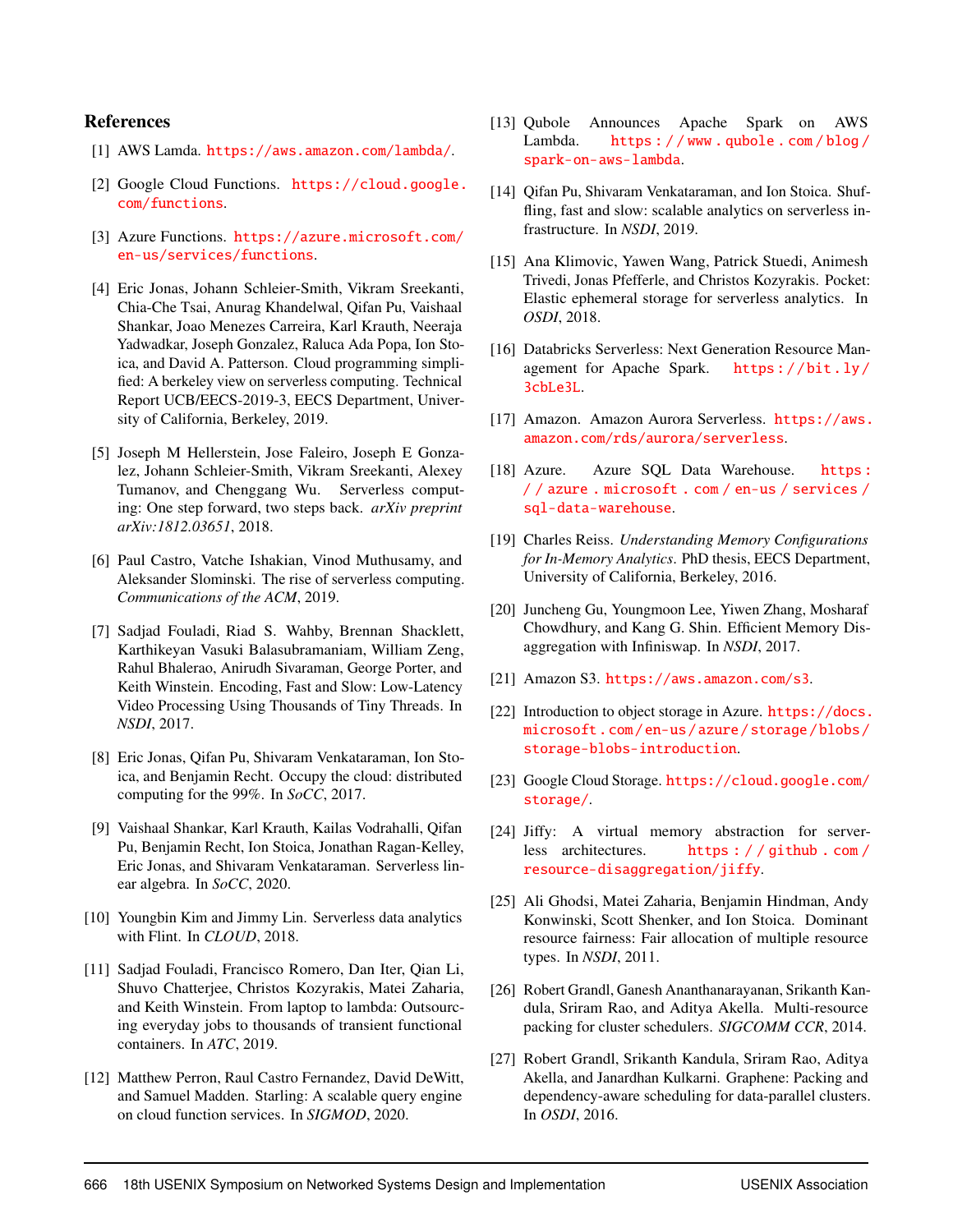# References

- <span id="page-14-0"></span>[1] AWS Lamda. <https://aws.amazon.com/lambda/>.
- [2] Google Cloud Functions. [https://cloud.google.](https://cloud.google.com/functions) [com/functions](https://cloud.google.com/functions).
- <span id="page-14-1"></span>[3] Azure Functions. [https://azure.microsoft.com/](https://azure.microsoft.com/en-us/services/functions) [en-us/services/functions](https://azure.microsoft.com/en-us/services/functions).
- <span id="page-14-2"></span>[4] Eric Jonas, Johann Schleier-Smith, Vikram Sreekanti, Chia-Che Tsai, Anurag Khandelwal, Qifan Pu, Vaishaal Shankar, Joao Menezes Carreira, Karl Krauth, Neeraja Yadwadkar, Joseph Gonzalez, Raluca Ada Popa, Ion Stoica, and David A. Patterson. Cloud programming simplified: A berkeley view on serverless computing. Technical Report UCB/EECS-2019-3, EECS Department, University of California, Berkeley, 2019.
- [5] Joseph M Hellerstein, Jose Faleiro, Joseph E Gonzalez, Johann Schleier-Smith, Vikram Sreekanti, Alexey Tumanov, and Chenggang Wu. Serverless computing: One step forward, two steps back. *arXiv preprint arXiv:1812.03651*, 2018.
- <span id="page-14-3"></span>[6] Paul Castro, Vatche Ishakian, Vinod Muthusamy, and Aleksander Slominski. The rise of serverless computing. *Communications of the ACM*, 2019.
- <span id="page-14-4"></span>[7] Sadjad Fouladi, Riad S. Wahby, Brennan Shacklett, Karthikeyan Vasuki Balasubramaniam, William Zeng, Rahul Bhalerao, Anirudh Sivaraman, George Porter, and Keith Winstein. Encoding, Fast and Slow: Low-Latency Video Processing Using Thousands of Tiny Threads. In *NSDI*, 2017.
- <span id="page-14-17"></span>[8] Eric Jonas, Qifan Pu, Shivaram Venkataraman, Ion Stoica, and Benjamin Recht. Occupy the cloud: distributed computing for the 99%. In *SoCC*, 2017.
- [9] Vaishaal Shankar, Karl Krauth, Kailas Vodrahalli, Qifan Pu, Benjamin Recht, Ion Stoica, Jonathan Ragan-Kelley, Eric Jonas, and Shivaram Venkataraman. Serverless linear algebra. In *SoCC*, 2020.
- [10] Youngbin Kim and Jimmy Lin. Serverless data analytics with Flint. In *CLOUD*, 2018.
- <span id="page-14-16"></span>[11] Sadjad Fouladi, Francisco Romero, Dan Iter, Qian Li, Shuvo Chatterjee, Christos Kozyrakis, Matei Zaharia, and Keith Winstein. From laptop to lambda: Outsourcing everyday jobs to thousands of transient functional containers. In *ATC*, 2019.
- <span id="page-14-9"></span>[12] Matthew Perron, Raul Castro Fernandez, David DeWitt, and Samuel Madden. Starling: A scalable query engine on cloud function services. In *SIGMOD*, 2020.
- <span id="page-14-6"></span>[13] Qubole Announces Apache Spark on AWS Lambda. [https : / / www . qubole . com / blog /](https://www.qubole.com/blog/spark-on-aws-lambda) [spark-on-aws-lambda](https://www.qubole.com/blog/spark-on-aws-lambda).
- <span id="page-14-7"></span>[14] Qifan Pu, Shivaram Venkataraman, and Ion Stoica. Shuffling, fast and slow: scalable analytics on serverless infrastructure. In *NSDI*, 2019.
- <span id="page-14-8"></span>[15] Ana Klimovic, Yawen Wang, Patrick Stuedi, Animesh Trivedi, Jonas Pfefferle, and Christos Kozyrakis. Pocket: Elastic ephemeral storage for serverless analytics. In *OSDI*, 2018.
- [16] Databricks Serverless: Next Generation Resource Management for Apache Spark. [https : / / bit . ly /](https://bit.ly/3cbLe3L) [3cbLe3L](https://bit.ly/3cbLe3L).
- [17] Amazon. Amazon Aurora Serverless. [https://aws.](https://aws.amazon.com/rds/aurora/serverless) [amazon.com/rds/aurora/serverless](https://aws.amazon.com/rds/aurora/serverless).
- <span id="page-14-5"></span>[18] Azure. Azure SQL Data Warehouse. https: [/ / azure . microsoft . com / en-us / services /](https://azure.microsoft.com/en-us/services/sql-data-warehouse) [sql-data-warehouse](https://azure.microsoft.com/en-us/services/sql-data-warehouse).
- <span id="page-14-10"></span>[19] Charles Reiss. *Understanding Memory Configurations for In-Memory Analytics*. PhD thesis, EECS Department, University of California, Berkeley, 2016.
- <span id="page-14-11"></span>[20] Juncheng Gu, Youngmoon Lee, Yiwen Zhang, Mosharaf Chowdhury, and Kang G. Shin. Efficient Memory Disaggregation with Infiniswap. In *NSDI*, 2017.
- <span id="page-14-12"></span>[21] Amazon S3. <https://aws.amazon.com/s3>.
- [22] Introduction to object storage in Azure. [https://docs.](https://docs.microsoft.com/en-us/azure/storage/blobs/storage-blobs-introduction) [microsoft . com / en-us / azure / storage / blobs /](https://docs.microsoft.com/en-us/azure/storage/blobs/storage-blobs-introduction) [storage-blobs-introduction](https://docs.microsoft.com/en-us/azure/storage/blobs/storage-blobs-introduction).
- [23] Google Cloud Storage. [https://cloud.google.com/](https://cloud.google.com/storage/) [storage/](https://cloud.google.com/storage/).
- <span id="page-14-13"></span>[24] Jiffy: A virtual memory abstraction for serverless architectures. [https : / / github . com /](https://github.com/resource-disaggregation/jiffy) [resource-disaggregation/jiffy](https://github.com/resource-disaggregation/jiffy).
- <span id="page-14-14"></span>[25] Ali Ghodsi, Matei Zaharia, Benjamin Hindman, Andy Konwinski, Scott Shenker, and Ion Stoica. Dominant resource fairness: Fair allocation of multiple resource types. In *NSDI*, 2011.
- <span id="page-14-18"></span>[26] Robert Grandl, Ganesh Ananthanarayanan, Srikanth Kandula, Sriram Rao, and Aditya Akella. Multi-resource packing for cluster schedulers. *SIGCOMM CCR*, 2014.
- <span id="page-14-15"></span>[27] Robert Grandl, Srikanth Kandula, Sriram Rao, Aditya Akella, and Janardhan Kulkarni. Graphene: Packing and dependency-aware scheduling for data-parallel clusters. In *OSDI*, 2016.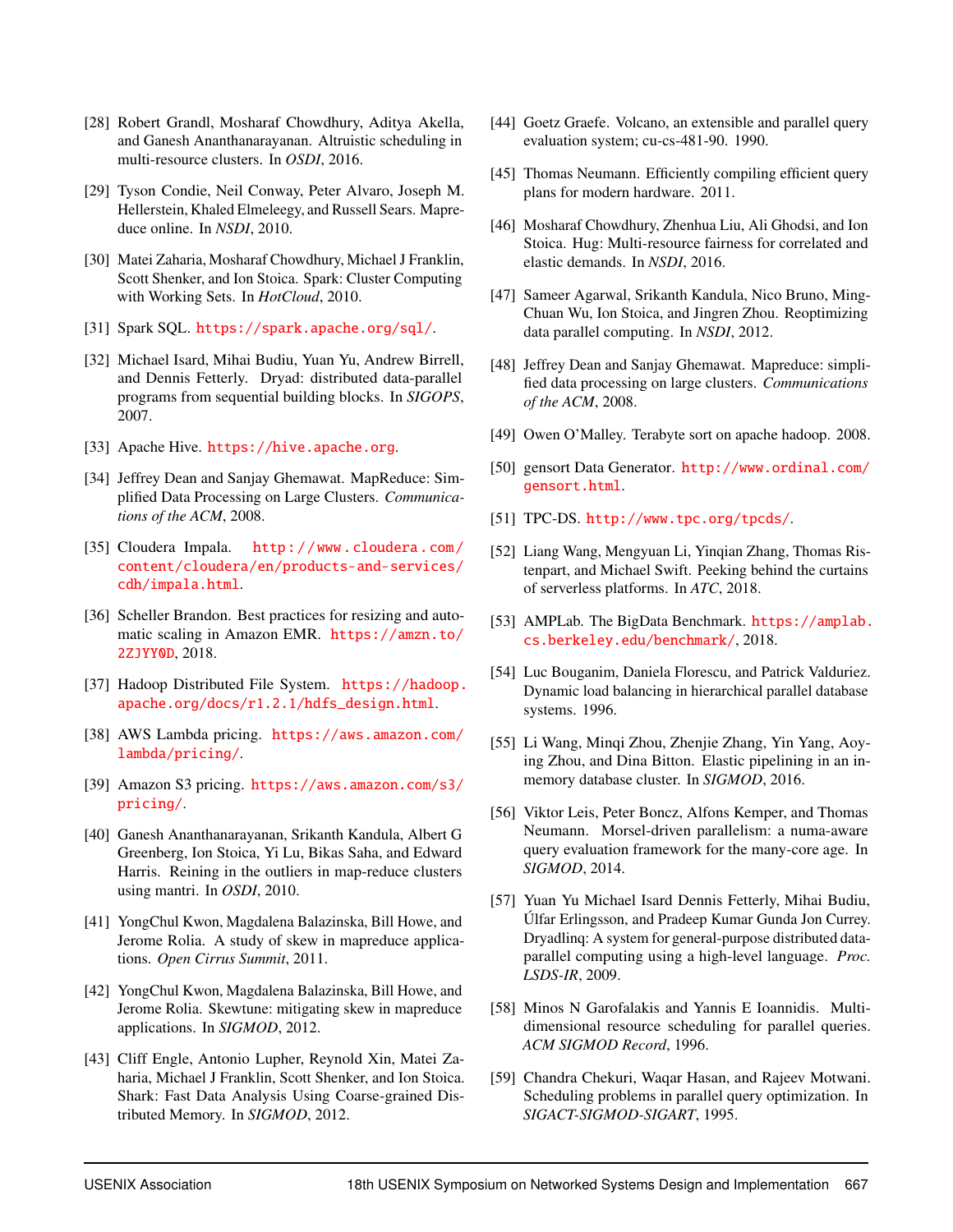- <span id="page-15-0"></span>[28] Robert Grandl, Mosharaf Chowdhury, Aditya Akella, and Ganesh Ananthanarayanan. Altruistic scheduling in multi-resource clusters. In *OSDI*, 2016.
- <span id="page-15-1"></span>[29] Tyson Condie, Neil Conway, Peter Alvaro, Joseph M. Hellerstein, Khaled Elmeleegy, and Russell Sears. Mapreduce online. In *NSDI*, 2010.
- <span id="page-15-3"></span>[30] Matei Zaharia, Mosharaf Chowdhury, Michael J Franklin, Scott Shenker, and Ion Stoica. Spark: Cluster Computing with Working Sets. In *HotCloud*, 2010.
- <span id="page-15-4"></span>[31] Spark SQL. <https://spark.apache.org/sql/>.
- <span id="page-15-2"></span>[32] Michael Isard, Mihai Budiu, Yuan Yu, Andrew Birrell, and Dennis Fetterly. Dryad: distributed data-parallel programs from sequential building blocks. In *SIGOPS*, 2007.
- <span id="page-15-5"></span>[33] Apache Hive. <https://hive.apache.org>.
- <span id="page-15-14"></span>[34] Jeffrey Dean and Sanjay Ghemawat. MapReduce: Simplified Data Processing on Large Clusters. *Communications of the ACM*, 2008.
- <span id="page-15-6"></span>[35] Cloudera Impala. http://www.cloudera.com/ [content/cloudera/en/products-and-services/](http://www.cloudera.com/content/cloudera/en/products-and-services/cdh/impala.html) [cdh/impala.html](http://www.cloudera.com/content/cloudera/en/products-and-services/cdh/impala.html).
- <span id="page-15-8"></span>[36] Scheller Brandon. Best practices for resizing and automatic scaling in Amazon EMR. [https://amzn.to/](https://amzn.to/2ZJYY0D) [2ZJYY0D](https://amzn.to/2ZJYY0D), 2018.
- <span id="page-15-7"></span>[37] Hadoop Distributed File System. [https://hadoop.](https://hadoop.apache.org/docs/r1.2.1/hdfs_design.html) [apache.org/docs/r1.2.1/hdfs\\_design.html](https://hadoop.apache.org/docs/r1.2.1/hdfs_design.html).
- <span id="page-15-9"></span>[38] AWS Lambda pricing. [https://aws.amazon.com/](https://aws.amazon.com/lambda/pricing/) [lambda/pricing/](https://aws.amazon.com/lambda/pricing/).
- <span id="page-15-10"></span>[39] Amazon S3 pricing. [https://aws.amazon.com/s3/](https://aws.amazon.com/s3/pricing/) [pricing/](https://aws.amazon.com/s3/pricing/).
- <span id="page-15-11"></span>[40] Ganesh Ananthanarayanan, Srikanth Kandula, Albert G Greenberg, Ion Stoica, Yi Lu, Bikas Saha, and Edward Harris. Reining in the outliers in map-reduce clusters using mantri. In *OSDI*, 2010.
- [41] YongChul Kwon, Magdalena Balazinska, Bill Howe, and Jerome Rolia. A study of skew in mapreduce applications. *Open Cirrus Summit*, 2011.
- <span id="page-15-12"></span>[42] YongChul Kwon, Magdalena Balazinska, Bill Howe, and Jerome Rolia. Skewtune: mitigating skew in mapreduce applications. In *SIGMOD*, 2012.
- <span id="page-15-13"></span>[43] Cliff Engle, Antonio Lupher, Reynold Xin, Matei Zaharia, Michael J Franklin, Scott Shenker, and Ion Stoica. Shark: Fast Data Analysis Using Coarse-grained Distributed Memory. In *SIGMOD*, 2012.
- <span id="page-15-15"></span>[44] Goetz Graefe. Volcano, an extensible and parallel query evaluation system; cu-cs-481-90. 1990.
- <span id="page-15-16"></span>[45] Thomas Neumann. Efficiently compiling efficient query plans for modern hardware. 2011.
- <span id="page-15-17"></span>[46] Mosharaf Chowdhury, Zhenhua Liu, Ali Ghodsi, and Ion Stoica. Hug: Multi-resource fairness for correlated and elastic demands. In *NSDI*, 2016.
- <span id="page-15-18"></span>[47] Sameer Agarwal, Srikanth Kandula, Nico Bruno, Ming-Chuan Wu, Ion Stoica, and Jingren Zhou. Reoptimizing data parallel computing. In *NSDI*, 2012.
- <span id="page-15-19"></span>[48] Jeffrey Dean and Sanjay Ghemawat. Mapreduce: simplified data processing on large clusters. *Communications of the ACM*, 2008.
- <span id="page-15-20"></span>[49] Owen O'Malley. Terabyte sort on apache hadoop. 2008.
- <span id="page-15-21"></span>[50] gensort Data Generator. [http://www.ordinal.com/](http://www.ordinal.com/gensort.html) [gensort.html](http://www.ordinal.com/gensort.html).
- <span id="page-15-22"></span>[51] TPC-DS. <http://www.tpc.org/tpcds/>.
- <span id="page-15-23"></span>[52] Liang Wang, Mengyuan Li, Yinqian Zhang, Thomas Ristenpart, and Michael Swift. Peeking behind the curtains of serverless platforms. In *ATC*, 2018.
- <span id="page-15-24"></span>[53] AMPLab. The BigData Benchmark. [https://amplab.](https://amplab.cs.berkeley.edu/benchmark/) [cs.berkeley.edu/benchmark/](https://amplab.cs.berkeley.edu/benchmark/), 2018.
- <span id="page-15-25"></span>[54] Luc Bouganim, Daniela Florescu, and Patrick Valduriez. Dynamic load balancing in hierarchical parallel database systems. 1996.
- [55] Li Wang, Minqi Zhou, Zhenjie Zhang, Yin Yang, Aoying Zhou, and Dina Bitton. Elastic pipelining in an inmemory database cluster. In *SIGMOD*, 2016.
- <span id="page-15-26"></span>[56] Viktor Leis, Peter Boncz, Alfons Kemper, and Thomas Neumann. Morsel-driven parallelism: a numa-aware query evaluation framework for the many-core age. In *SIGMOD*, 2014.
- <span id="page-15-27"></span>[57] Yuan Yu Michael Isard Dennis Fetterly, Mihai Budiu, Úlfar Erlingsson, and Pradeep Kumar Gunda Jon Currey. Dryadlinq: A system for general-purpose distributed dataparallel computing using a high-level language. *Proc. LSDS-IR*, 2009.
- <span id="page-15-28"></span>[58] Minos N Garofalakis and Yannis E Ioannidis. Multidimensional resource scheduling for parallel queries. *ACM SIGMOD Record*, 1996.
- [59] Chandra Chekuri, Waqar Hasan, and Rajeev Motwani. Scheduling problems in parallel query optimization. In *SIGACT-SIGMOD-SIGART*, 1995.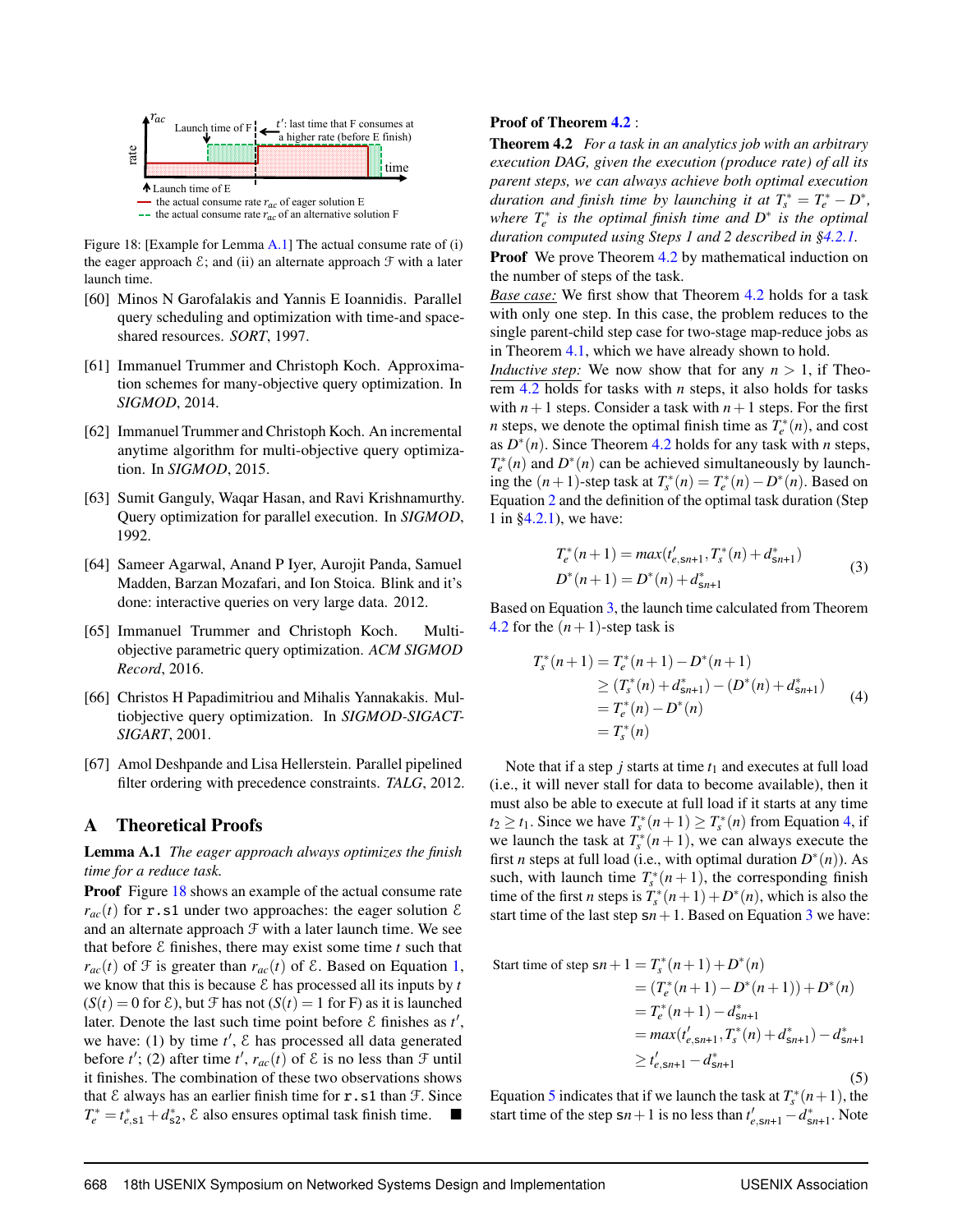<span id="page-16-5"></span>

Figure 18: [Example for Lemma [A.1\]](#page-16-4) The actual consume rate of (i) the eager approach  $\mathcal{E}$ ; and (ii) an alternate approach  $\mathcal F$  with a later launch time.

- <span id="page-16-1"></span>[60] Minos N Garofalakis and Yannis E Ioannidis. Parallel query scheduling and optimization with time-and spaceshared resources. *SORT*, 1997.
- <span id="page-16-2"></span>[61] Immanuel Trummer and Christoph Koch. Approximation schemes for many-objective query optimization. In *SIGMOD*, 2014.
- [62] Immanuel Trummer and Christoph Koch. An incremental anytime algorithm for multi-objective query optimization. In *SIGMOD*, 2015.
- [63] Sumit Ganguly, Waqar Hasan, and Ravi Krishnamurthy. Query optimization for parallel execution. In *SIGMOD*, 1992.
- [64] Sameer Agarwal, Anand P Iyer, Aurojit Panda, Samuel Madden, Barzan Mozafari, and Ion Stoica. Blink and it's done: interactive queries on very large data. 2012.
- [65] Immanuel Trummer and Christoph Koch. Multiobjective parametric query optimization. *ACM SIGMOD Record*, 2016.
- [66] Christos H Papadimitriou and Mihalis Yannakakis. Multiobjective query optimization. In *SIGMOD-SIGACT-SIGART*, 2001.
- <span id="page-16-3"></span>[67] Amol Deshpande and Lisa Hellerstein. Parallel pipelined filter ordering with precedence constraints. *TALG*, 2012.

## <span id="page-16-0"></span>A Theoretical Proofs

<span id="page-16-4"></span>Lemma A.1 *The eager approach always optimizes the finish time for a reduce task.*

Proof Figure [18](#page-16-5) shows an example of the actual consume rate  $r_{ac}(t)$  for **r**.s1 under two approaches: the eager solution  $\mathcal{E}$ and an alternate approach  $\mathcal F$  with a later launch time. We see that before  $\epsilon$  finishes, there may exist some time  $t$  such that  $r_{ac}(t)$  of  $\mathcal F$  is greater than  $r_{ac}(t)$  of  $\mathcal E$ . Based on Equation [1,](#page-7-1) we know that this is because  $\mathcal E$  has processed all its inputs by  $t$  $(S(t) = 0$  for  $\mathcal{E}$ ), but  $\mathcal{F}$  has not  $(S(t) = 1$  for F) as it is launched later. Denote the last such time point before  $\epsilon$  finishes as  $t'$ , we have: (1) by time  $t'$ ,  $\&$  has processed all data generated before *t'*; (2) after time *t'*,  $r_{ac}(t)$  of  $\ϵ$  is no less than  $\mathcal{F}$  until it finishes. The combination of these two observations shows that  $\epsilon$  always has an earlier finish time for  $r \cdot s1$  than  $\mathcal{F}$ . Since  $T_e^* = t_{e, s1}^* + d_{s2}^*$ ,  $\varepsilon$  also ensures optimal task finish time.  $\blacksquare$ 

#### Proof of Theorem [4.2](#page-7-2) :

Theorem 4.2 *For a task in an analytics job with an arbitrary execution DAG, given the execution (produce rate) of all its parent steps, we can always achieve both optimal execution duration and finish time by launching it at*  $T_s^* = T_e^* - D^*$ , *where*  $T_e^*$  *is the optimal finish time and*  $D^*$  *is the optimal duration computed using Steps 1 and 2 described in [§4.2.1.](#page-6-2)*

**Proof** We prove Theorem [4.2](#page-7-2) by mathematical induction on the number of steps of the task.

*Base case:* We first show that Theorem [4.2](#page-7-2) holds for a task with only one step. In this case, the problem reduces to the single parent-child step case for two-stage map-reduce jobs as in Theorem [4.1,](#page-6-1) which we have already shown to hold.

*Inductive step:* We now show that for any  $n > 1$ , if Theorem [4.2](#page-7-2) holds for tasks with *n* steps, it also holds for tasks with  $n+1$  steps. Consider a task with  $n+1$  steps. For the first *n* steps, we denote the optimal finish time as  $T_e^*(n)$ , and cost as  $D^*(n)$ . Since Theorem [4.2](#page-7-2) holds for any task with *n* steps,  $T_e^*(n)$  and  $D^*(n)$  can be achieved simultaneously by launching the  $(n+1)$ -step task at  $T_s^*(n) = T_e^*(n) - D^*(n)$ . Based on Equation [2](#page-7-3) and the definition of the optimal task duration (Step 1 in [§4.2.1\)](#page-6-2), we have:

<span id="page-16-7"></span><span id="page-16-6"></span>
$$
T_e^*(n+1) = max(t'_{e,sn+1}, T_s^*(n) + d_{sn+1}^*)
$$
  
\n
$$
D^*(n+1) = D^*(n) + d_{sn+1}^*
$$
\n(3)

Based on Equation [3,](#page-16-6) the launch time calculated from Theorem [4.2](#page-7-2) for the  $(n+1)$ -step task is

$$
T_s^*(n+1) = T_e^*(n+1) - D^*(n+1)
$$
  
\n
$$
\ge (T_s^*(n) + d_{sn+1}^*) - (D^*(n) + d_{sn+1}^*)
$$
  
\n
$$
= T_e^*(n) - D^*(n)
$$
  
\n
$$
= T_s^*(n)
$$
 (4)

Note that if a step  $j$  starts at time  $t_1$  and executes at full load (i.e., it will never stall for data to become available), then it must also be able to execute at full load if it starts at any time  $t_2 \ge t_1$ . Since we have  $T_s^*(n+1) \ge T_s^*(n)$  from Equation [4,](#page-16-7) if we launch the task at  $T_s^*(n+1)$ , we can always execute the first *n* steps at full load (i.e., with optimal duration  $D^*(n)$ ). As such, with launch time  $T_s^*(n+1)$ , the corresponding finish time of the first *n* steps is  $T_s^*(n+1)+D^*(n)$ , which is also the start time of the last step  $sn + 1$ . Based on Equation [3](#page-16-6) we have:

<span id="page-16-8"></span>Start time of step 
$$
\operatorname{sn} + 1 = T_s^*(n+1) + D^*(n)
$$
  
\n
$$
= (T_e^*(n+1) - D^*(n+1)) + D^*(n)
$$
\n
$$
= T_e^*(n+1) - d_{sn+1}^*
$$
\n
$$
= max(t'_{e, sn+1}, T_s^*(n) + d_{sn+1}^*) - d_{sn+1}^*
$$
\n
$$
\ge t'_{e, sn+1} - d_{sn+1}^*
$$
\n(5)

Equation [5](#page-16-8) indicates that if we launch the task at  $T_s^*(n+1)$ , the start time of the step  $sn + 1$  is no less than  $t'_{e, sn+1} - d_{sn+1}^*$ . Note